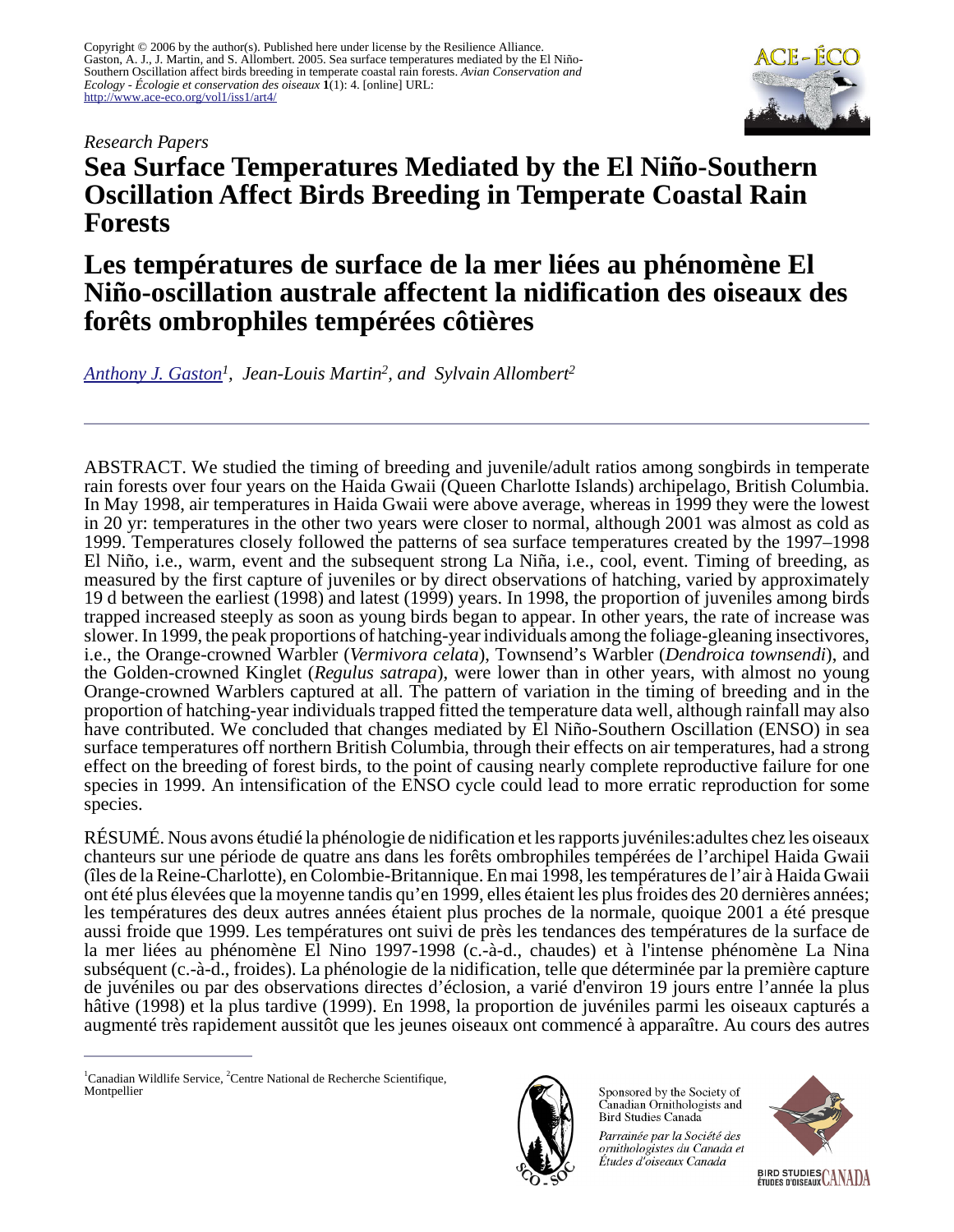Copyright © 2006 by the author(s). Published here under license by the Resilience Alliance. Gaston, A. J., J. Martin, and S. Allombert. 2005. Sea surface temperatures mediated by the El Niño-Southern Oscillation affect birds breeding in temperate coastal rain forests. *Avian Conservation and Ecology - Écologie et conservation des oiseaux* **1**(1): 4. [online] URL: <http://www.ace-eco.org/vol1/iss1/art4/>



#### *Research Papers*

# **Sea Surface Temperatures Mediated by the El Niño-Southern Oscillation Affect Birds Breeding in Temperate Coastal Rain Forests**

# **Les températures de surface de la mer liées au phénomène El Niño-oscillation australe affectent la nidification des oiseaux des forêts ombrophiles tempérées côtières**

*[Anthony J. Gaston](mailto:tony.gaston@ec.gc.ca)<sup>1</sup> , Jean-Louis Martin<sup>2</sup> , and Sylvain Allombert<sup>2</sup>*

ABSTRACT. We studied the timing of breeding and juvenile/adult ratios among songbirds in temperate rain forests over four years on the Haida Gwaii (Queen Charlotte Islands) archipelago, British Columbia. In May 1998, air temperatures in Haida Gwaii were above average, whereas in 1999 they were the lowest in 20 yr: temperatures in the other two years were closer to normal, although 2001 was almost as cold as 1999. Temperatures closely followed the patterns of sea surface temperatures created by the 1997–1998 El Niño, i.e., warm, event and the subsequent strong La Niña, i.e., cool, event. Timing of breeding, as measured by the first capture of juveniles or by direct observations of hatching, varied by approximately 19 d between the earliest (1998) and latest (1999) years. In 1998, the proportion of juveniles among birds trapped increased steeply as soon as young birds began to appear. In other years, the rate of increase was slower. In 1999, the peak proportions of hatching-year individuals among the foliage-gleaning insectivores, i.e., the Orange-crowned Warbler (*Vermivora celata*), Townsend's Warbler (*Dendroica townsendi*), and the Golden-crowned Kinglet (*Regulus satrapa*), were lower than in other years, with almost no young Orange-crowned Warblers captured at all. The pattern of variation in the timing of breeding and in the proportion of hatching-year individuals trapped fitted the temperature data well, although rainfall may also have contributed. We concluded that changes mediated by El Niño-Southern Oscillation (ENSO) in sea surface temperatures off northern British Columbia, through their effects on air temperatures, had a strong effect on the breeding of forest birds, to the point of causing nearly complete reproductive failure for one species in 1999. An intensification of the ENSO cycle could lead to more erratic reproduction for some species.

RÉSUMÉ. Nous avons étudié la phénologie de nidification et les rapports juvéniles:adultes chez les oiseaux chanteurs sur une période de quatre ans dans les forêts ombrophiles tempérées de l'archipel Haida Gwaii (îles de la Reine-Charlotte), en Colombie-Britannique. En mai 1998, les températures de l'air à Haida Gwaii ont été plus élevées que la moyenne tandis qu'en 1999, elles étaient les plus froides des 20 dernières années; les températures des deux autres années étaient plus proches de la normale, quoique 2001 a été presque aussi froide que 1999. Les températures ont suivi de près les tendances des températures de la surface de la mer liées au phénomène El Nino 1997-1998 (c.-à-d., chaudes) et à l'intense phénomène La Nina subséquent (c.-à-d., froides). La phénologie de la nidification, telle que déterminée par la première capture de juvéniles ou par des observations directes d'éclosion, a varié d'environ 19 jours entre l'année la plus hâtive (1998) et la plus tardive (1999). En 1998, la proportion de juvéniles parmi les oiseaux capturés a augmenté très rapidement aussitôt que les jeunes oiseaux ont commencé à apparaître. Au cours des autres



Sponsored by the Society of Canadian Ornithologists and Bird Studies Canada

Parrainée par la Société des ornithologistes du Canada et Études d'oiseaux Canada



 ${}^{1}$ Canadian Wildlife Service,  ${}^{2}$ Centre National de Recherche Scientifique, Montpellier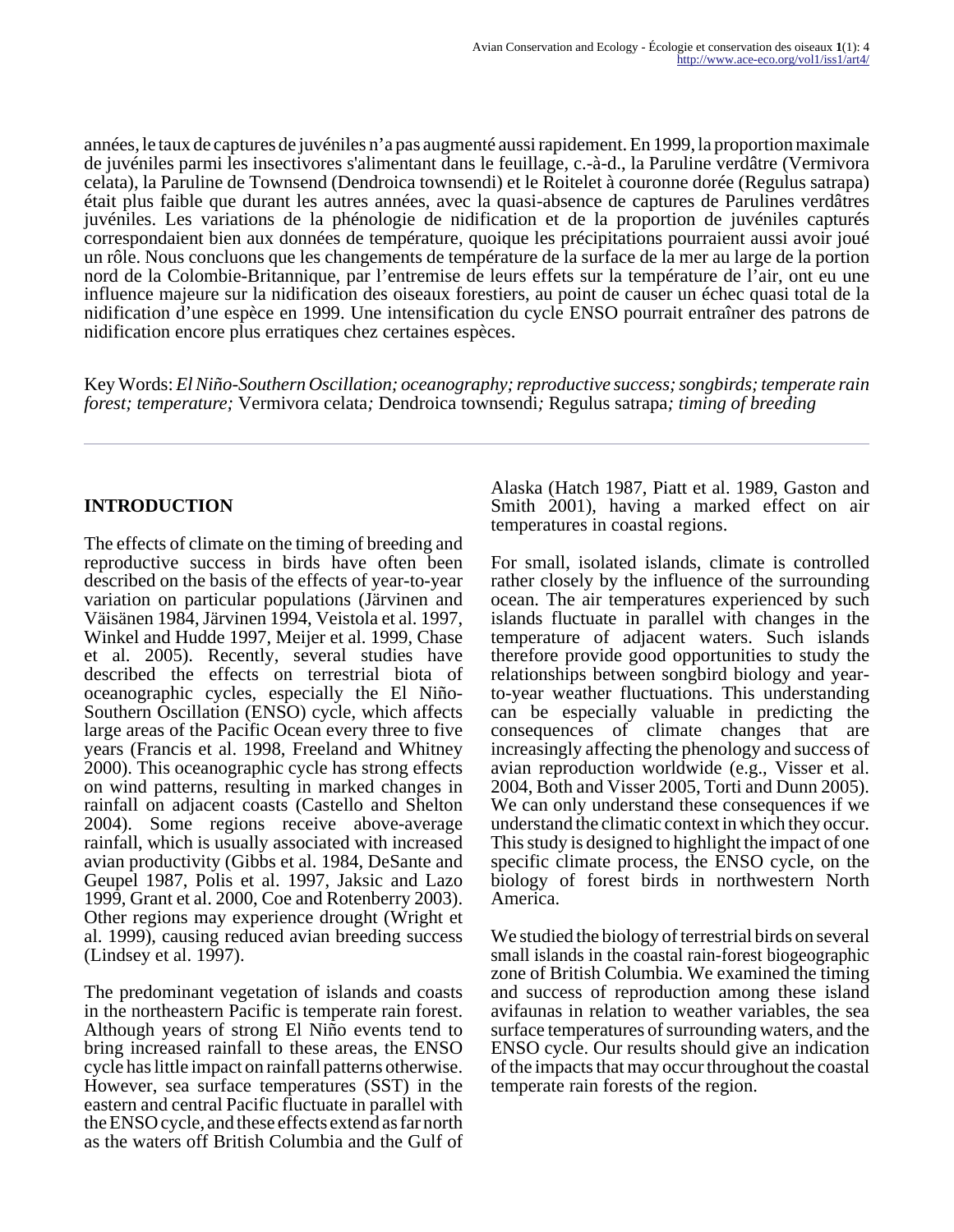années, le taux de captures de juvéniles n'a pas augmenté aussi rapidement. En 1999, la proportion maximale de juvéniles parmi les insectivores s'alimentant dans le feuillage, c.-à-d., la Paruline verdâtre (Vermivora celata), la Paruline de Townsend (Dendroica townsendi) et le Roitelet à couronne dorée (Regulus satrapa) était plus faible que durant les autres années, avec la quasi-absence de captures de Parulines verdâtres juvéniles. Les variations de la phénologie de nidification et de la proportion de juvéniles capturés correspondaient bien aux données de température, quoique les précipitations pourraient aussi avoir joué un rôle. Nous concluons que les changements de température de la surface de la mer au large de la portion nord de la Colombie-Britannique, par l'entremise de leurs effets sur la température de l'air, ont eu une influence majeure sur la nidification des oiseaux forestiers, au point de causer un échec quasi total de la nidification d'une espèce en 1999. Une intensification du cycle ENSO pourrait entraîner des patrons de nidification encore plus erratiques chez certaines espèces.

Key Words: *El Niño-Southern Oscillation; oceanography; reproductive success; songbirds; temperate rain forest; temperature;* Vermivora celata*;* Dendroica townsendi*;* Regulus satrapa*; timing of breeding*

# **INTRODUCTION**

The effects of climate on the timing of breeding and reproductive success in birds have often been described on the basis of the effects of year-to-year variation on particular populations (Järvinen and Väisänen 1984, Järvinen 1994, Veistola et al. 1997, Winkel and Hudde 1997, Meijer et al. 1999, Chase et al. 2005). Recently, several studies have described the effects on terrestrial biota of oceanographic cycles, especially the El Niño-Southern Oscillation (ENSO) cycle, which affects large areas of the Pacific Ocean every three to five years (Francis et al. 1998, Freeland and Whitney 2000). This oceanographic cycle has strong effects on wind patterns, resulting in marked changes in rainfall on adjacent coasts (Castello and Shelton 2004). Some regions receive above-average rainfall, which is usually associated with increased avian productivity (Gibbs et al. 1984, DeSante and Geupel 1987, Polis et al. 1997, Jaksic and Lazo 1999, Grant et al. 2000, Coe and Rotenberry 2003). Other regions may experience drought (Wright et al. 1999), causing reduced avian breeding success (Lindsey et al. 1997).

The predominant vegetation of islands and coasts in the northeastern Pacific is temperate rain forest. Although years of strong El Niño events tend to bring increased rainfall to these areas, the ENSO cycle has little impact on rainfall patterns otherwise. However, sea surface temperatures (SST) in the eastern and central Pacific fluctuate in parallel with the ENSO cycle, and these effects extend as far north as the waters off British Columbia and the Gulf of Alaska (Hatch 1987, Piatt et al. 1989, Gaston and Smith 2001), having a marked effect on air temperatures in coastal regions.

For small, isolated islands, climate is controlled rather closely by the influence of the surrounding ocean. The air temperatures experienced by such islands fluctuate in parallel with changes in the temperature of adjacent waters. Such islands therefore provide good opportunities to study the relationships between songbird biology and yearto-year weather fluctuations. This understanding can be especially valuable in predicting the consequences of climate changes that are increasingly affecting the phenology and success of avian reproduction worldwide (e.g., Visser et al. 2004, Both and Visser 2005, Torti and Dunn 2005). We can only understand these consequences if we understand the climatic context in which they occur. This study is designed to highlight the impact of one specific climate process, the ENSO cycle, on the biology of forest birds in northwestern North America.

We studied the biology of terrestrial birds on several small islands in the coastal rain-forest biogeographic zone of British Columbia. We examined the timing and success of reproduction among these island avifaunas in relation to weather variables, the sea surface temperatures of surrounding waters, and the ENSO cycle. Our results should give an indication of the impacts that may occur throughout the coastal temperate rain forests of the region.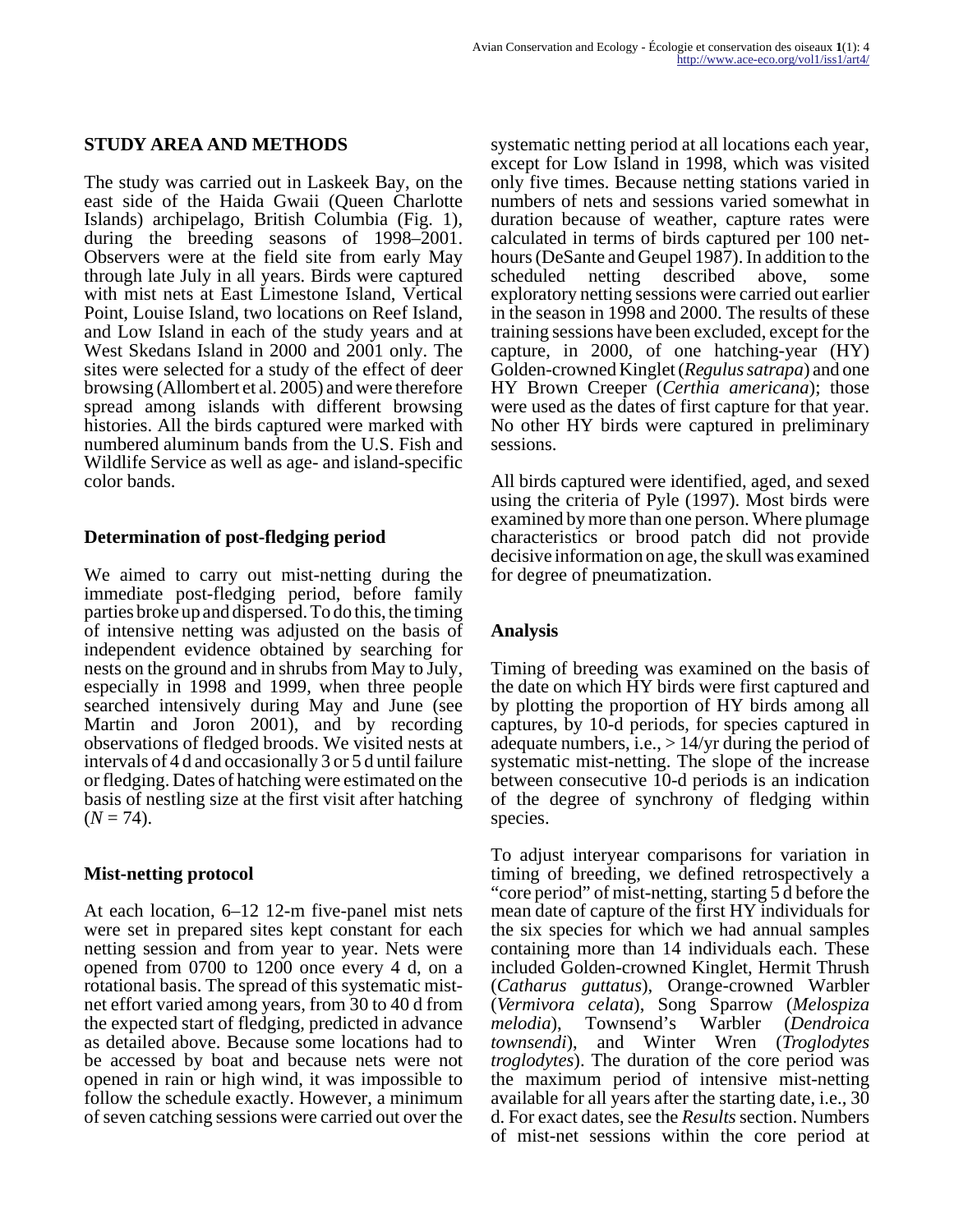## **STUDY AREA AND METHODS**

The study was carried out in Laskeek Bay, on the east side of the Haida Gwaii (Queen Charlotte Islands) archipelago, British Columbia (Fig. 1), during the breeding seasons of 1998–2001. Observers were at the field site from early May through late July in all years. Birds were captured with mist nets at East Limestone Island, Vertical Point, Louise Island, two locations on Reef Island, and Low Island in each of the study years and at West Skedans Island in 2000 and 2001 only. The sites were selected for a study of the effect of deer browsing (Allombert et al. 2005) and were therefore spread among islands with different browsing histories. All the birds captured were marked with numbered aluminum bands from the U.S. Fish and Wildlife Service as well as age- and island-specific color bands.

#### **Determination of post-fledging period**

We aimed to carry out mist-netting during the immediate post-fledging period, before family parties broke up and dispersed. To do this, the timing of intensive netting was adjusted on the basis of independent evidence obtained by searching for nests on the ground and in shrubs from May to July, especially in 1998 and 1999, when three people searched intensively during May and June (see Martin and Joron 2001), and by recording observations of fledged broods. We visited nests at intervals of 4 d and occasionally 3 or 5 d until failure or fledging. Dates of hatching were estimated on the basis of nestling size at the first visit after hatching  $(N = 74)$ .

#### **Mist-netting protocol**

At each location, 6–12 12-m five-panel mist nets were set in prepared sites kept constant for each netting session and from year to year. Nets were opened from 0700 to 1200 once every 4 d, on a rotational basis. The spread of this systematic mistnet effort varied among years, from 30 to 40 d from the expected start of fledging, predicted in advance as detailed above. Because some locations had to be accessed by boat and because nets were not opened in rain or high wind, it was impossible to follow the schedule exactly. However, a minimum of seven catching sessions were carried out over the

systematic netting period at all locations each year, except for Low Island in 1998, which was visited only five times. Because netting stations varied in numbers of nets and sessions varied somewhat in duration because of weather, capture rates were calculated in terms of birds captured per 100 nethours (DeSante and Geupel 1987). In addition to the scheduled netting described above, some exploratory netting sessions were carried out earlier in the season in 1998 and 2000. The results of these training sessions have been excluded, except for the capture, in 2000, of one hatching-year (HY) Golden-crowned Kinglet (*Regulus satrapa*) and one HY Brown Creeper (*Certhia americana*); those were used as the dates of first capture for that year. No other HY birds were captured in preliminary sessions.

All birds captured were identified, aged, and sexed using the criteria of Pyle (1997). Most birds were examined by more than one person. Where plumage characteristics or brood patch did not provide decisive information on age, the skull was examined for degree of pneumatization.

## **Analysis**

Timing of breeding was examined on the basis of the date on which HY birds were first captured and by plotting the proportion of HY birds among all captures, by 10-d periods, for species captured in adequate numbers, i.e., > 14/yr during the period of systematic mist-netting. The slope of the increase between consecutive 10-d periods is an indication of the degree of synchrony of fledging within species.

To adjust interyear comparisons for variation in timing of breeding, we defined retrospectively a "core period" of mist-netting, starting 5 d before the mean date of capture of the first HY individuals for the six species for which we had annual samples containing more than 14 individuals each. These included Golden-crowned Kinglet, Hermit Thrush (*Catharus guttatus*), Orange-crowned Warbler (*Vermivora celata*), Song Sparrow (*Melospiza melodia*), Townsend's Warbler (*Dendroica townsendi*), and Winter Wren (*Troglodytes troglodytes*). The duration of the core period was the maximum period of intensive mist-netting available for all years after the starting date, i.e., 30 d. For exact dates, see the *Results* section. Numbers of mist-net sessions within the core period at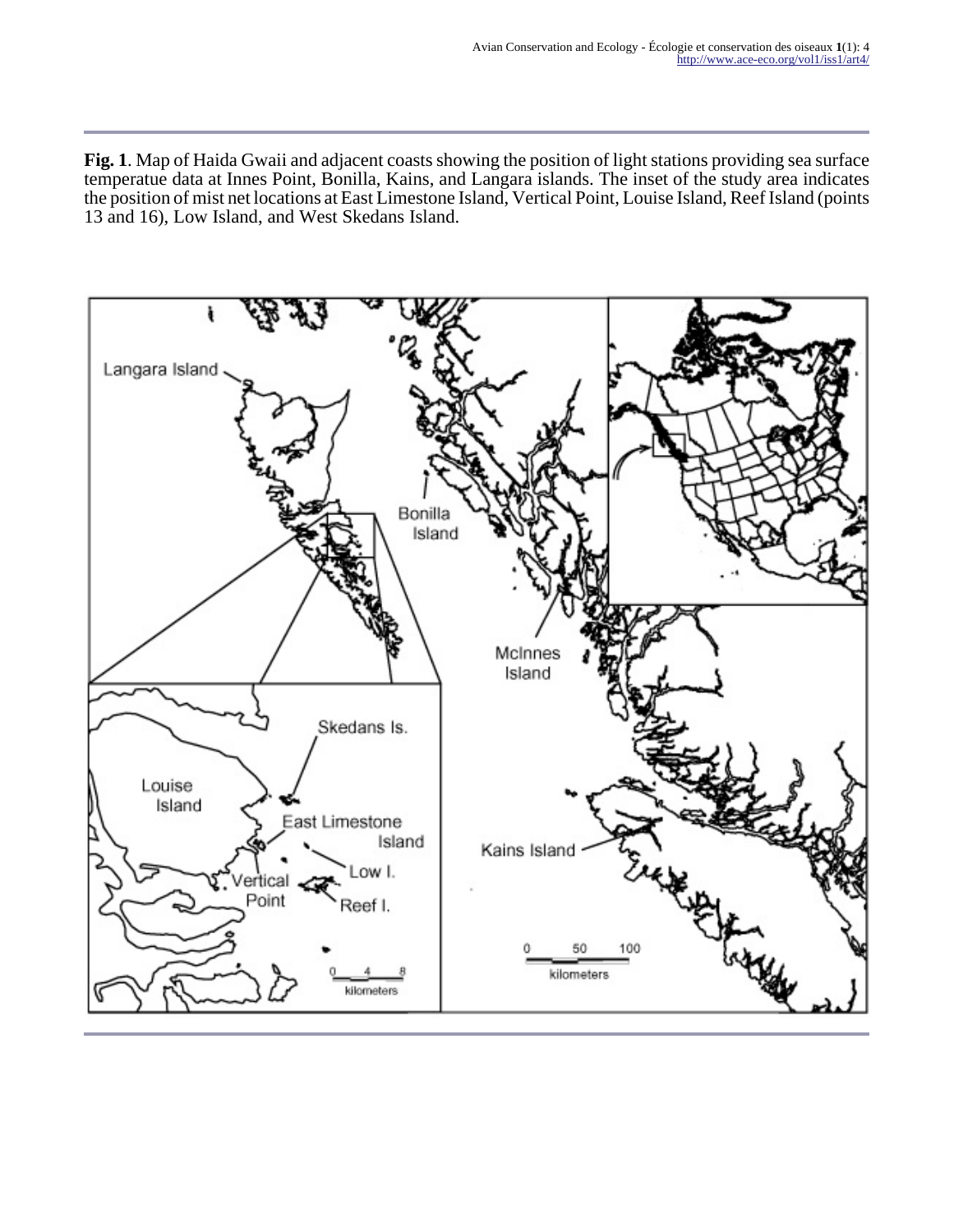**Fig. 1**. Map of Haida Gwaii and adjacent coasts showing the position of light stations providing sea surface temperatue data at Innes Point, Bonilla, Kains, and Langara islands. The inset of the study area indicates the position of mist net locations at East Limestone Island, Vertical Point, Louise Island, Reef Island (points 13 and 16), Low Island, and West Skedans Island.

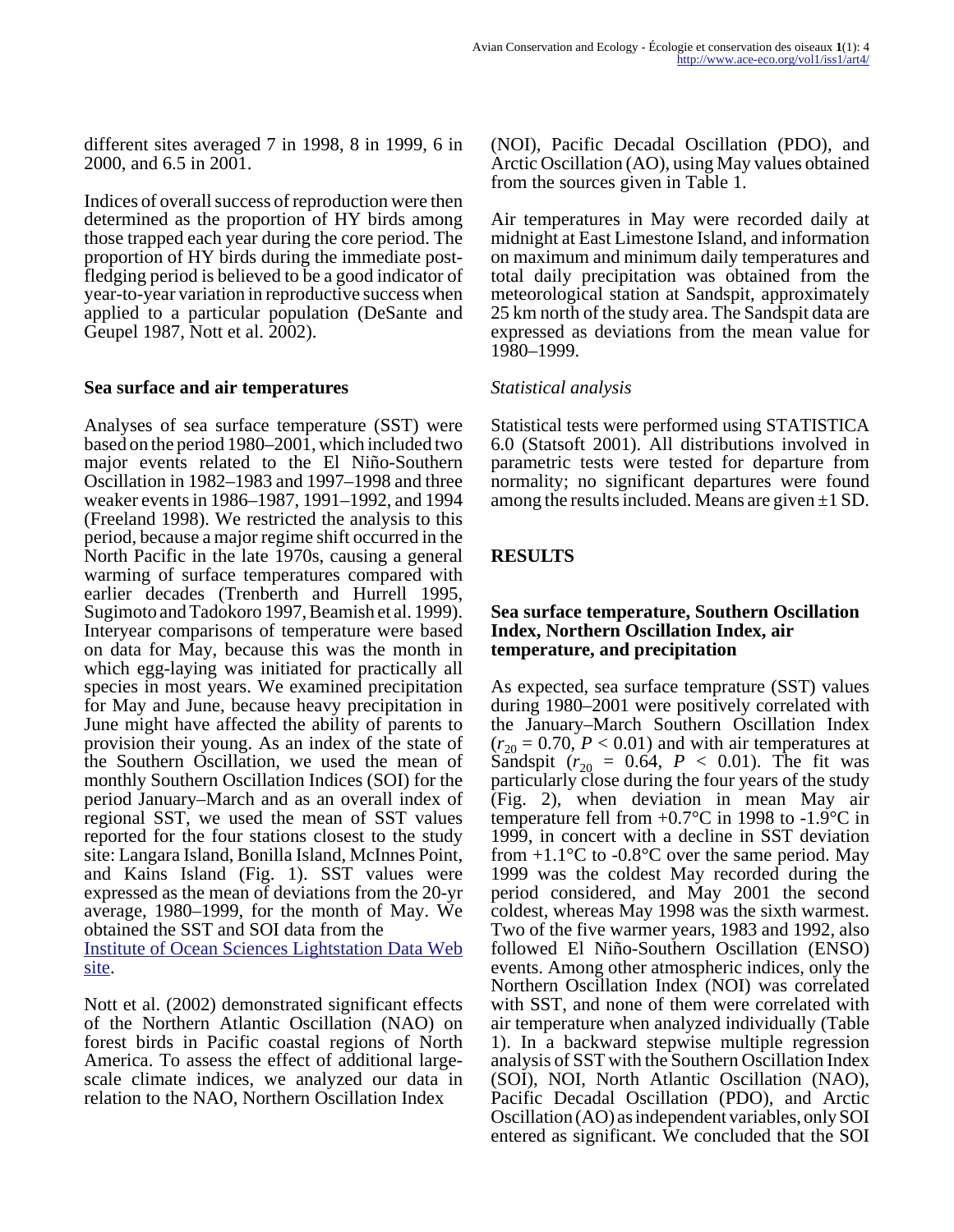different sites averaged 7 in 1998, 8 in 1999, 6 in 2000, and 6.5 in 2001.

Indices of overall success of reproduction were then determined as the proportion of HY birds among those trapped each year during the core period. The proportion of HY birds during the immediate postfledging period is believed to be a good indicator of year-to-year variation in reproductive success when applied to a particular population (DeSante and Geupel 1987, Nott et al. 2002).

#### **Sea surface and air temperatures**

Analyses of sea surface temperature (SST) were based on the period 1980–2001, which included two major events related to the El Niño-Southern Oscillation in 1982–1983 and 1997–1998 and three weaker events in 1986–1987, 1991–1992, and 1994 (Freeland 1998). We restricted the analysis to this period, because a major regime shift occurred in the North Pacific in the late 1970s, causing a general warming of surface temperatures compared with earlier decades (Trenberth and Hurrell 1995, Sugimoto and Tadokoro 1997, Beamish et al. 1999). Interyear comparisons of temperature were based on data for May, because this was the month in which egg-laying was initiated for practically all species in most years. We examined precipitation for May and June, because heavy precipitation in June might have affected the ability of parents to provision their young. As an index of the state of the Southern Oscillation, we used the mean of monthly Southern Oscillation Indices (SOI) for the period January–March and as an overall index of regional SST, we used the mean of SST values reported for the four stations closest to the study site: Langara Island, Bonilla Island, McInnes Point, and Kains Island (Fig. 1). SST values were expressed as the mean of deviations from the 20-yr average, 1980–1999, for the month of May. We obtained the SST and SOI data from the [Institute of Ocean Sciences Lightstation Data Web](http://www-sci.pac.dfo-mpo.gc.ca/osap/data/searchtools/Searchlighthouse_e.htm)

site.

Nott et al. (2002) demonstrated significant effects of the Northern Atlantic Oscillation (NAO) on forest birds in Pacific coastal regions of North America. To assess the effect of additional largescale climate indices, we analyzed our data in relation to the NAO, Northern Oscillation Index

(NOI), Pacific Decadal Oscillation (PDO), and Arctic Oscillation (AO), using May values obtained from the sources given in Table 1.

Air temperatures in May were recorded daily at midnight at East Limestone Island, and information on maximum and minimum daily temperatures and total daily precipitation was obtained from the meteorological station at Sandspit, approximately 25 km north of the study area. The Sandspit data are expressed as deviations from the mean value for 1980–1999.

## *Statistical analysis*

Statistical tests were performed using STATISTICA 6.0 (Statsoft 2001). All distributions involved in parametric tests were tested for departure from normality; no significant departures were found among the results included. Means are given  $\pm 1$  SD.

# **RESULTS**

#### **Sea surface temperature, Southern Oscillation Index, Northern Oscillation Index, air temperature, and precipitation**

As expected, sea surface temprature (SST) values during 1980–2001 were positively correlated with the January–March Southern Oscillation Index  $(r_{20} = 0.70, P < 0.01)$  and with air temperatures at Sandspit ( $r_{20} = 0.64$ ,  $P < 0.01$ ). The fit was particularly close during the four years of the study (Fig. 2), when deviation in mean May air temperature fell from  $+0.7$ °C in 1998 to  $-1.9$ °C in 1999, in concert with a decline in SST deviation from  $+1.1^{\circ}$ C to  $-0.8^{\circ}$ C over the same period. May 1999 was the coldest May recorded during the period considered, and May 2001 the second coldest, whereas May 1998 was the sixth warmest. Two of the five warmer years, 1983 and 1992, also followed El Niño-Southern Oscillation (ENSO) events. Among other atmospheric indices, only the Northern Oscillation Index (NOI) was correlated with SST, and none of them were correlated with air temperature when analyzed individually (Table 1). In a backward stepwise multiple regression analysis of SST with the Southern Oscillation Index (SOI), NOI, North Atlantic Oscillation (NAO), Pacific Decadal Oscillation (PDO), and Arctic Oscillation (AO) as independent variables, only SOI entered as significant. We concluded that the SOI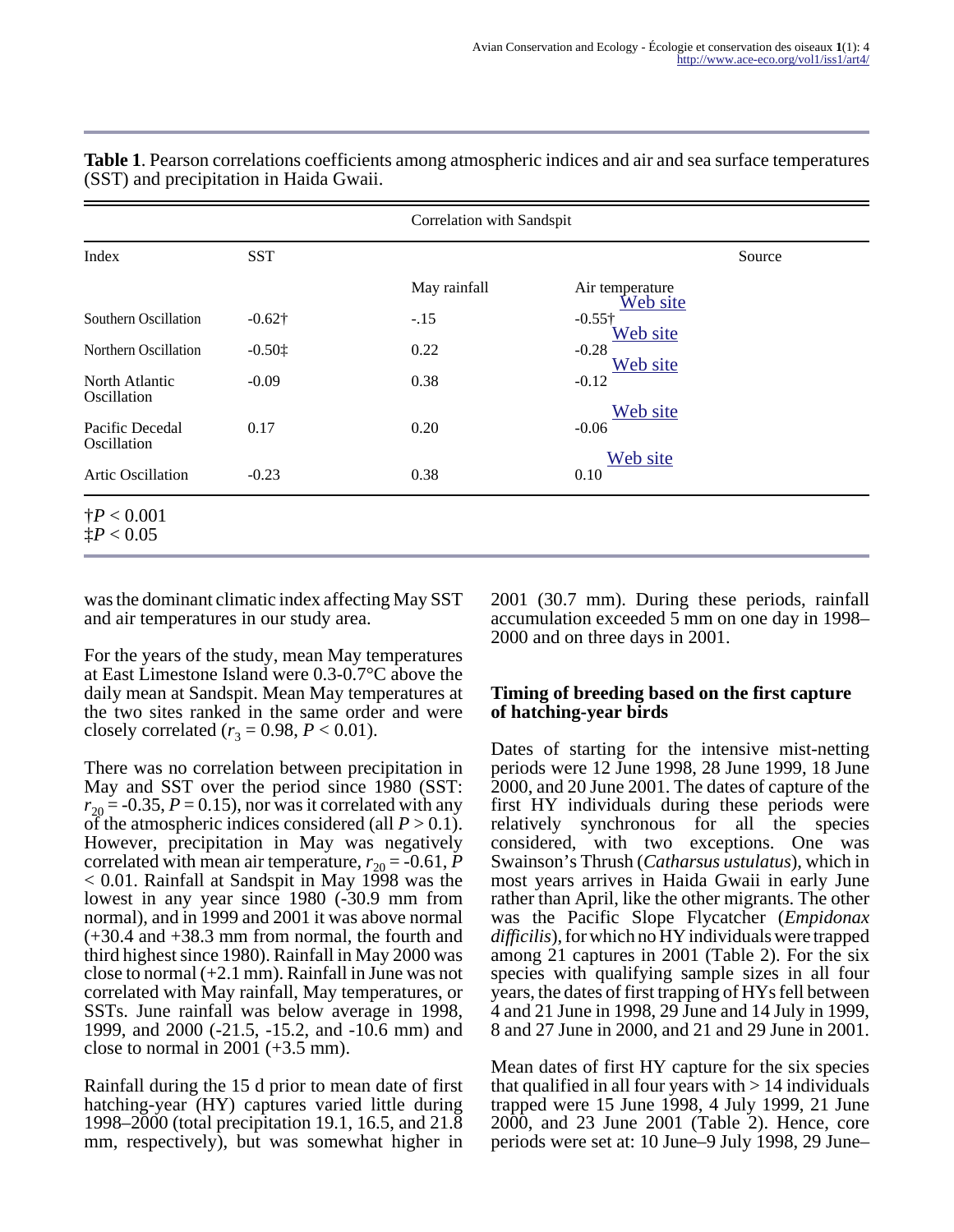| Index                                      | <b>SST</b>                              | Correlation with Sandspit |                             |        |
|--------------------------------------------|-----------------------------------------|---------------------------|-----------------------------|--------|
|                                            |                                         |                           |                             | Source |
|                                            |                                         | May rainfall              | Air temperature<br>Web site |        |
| Southern Oscillation                       | $-0.62\dagger$                          | $-.15$                    | $-0.55\dagger$<br>Web site  |        |
| Northern Oscillation                       | $-0.50$ <sup><math>\dagger</math></sup> | 0.22                      | $-0.28$<br>Web site         |        |
| North Atlantic<br>Oscillation              | $-0.09$                                 | 0.38                      | $-0.12$                     |        |
| Pacific Decedal<br>Oscillation             | 0.17                                    | 0.20                      | Web site<br>$-0.06$         |        |
| Artic Oscillation                          | $-0.23$                                 | 0.38                      | Web site<br>0.10            |        |
| $\dagger P < 0.001$<br>$\ddagger P < 0.05$ |                                         |                           |                             |        |

**Table 1**. Pearson correlations coefficients among atmospheric indices and air and sea surface temperatures (SST) and precipitation in Haida Gwaii.

was the dominant climatic index affecting May SST and air temperatures in our study area.

For the years of the study, mean May temperatures at East Limestone Island were 0.3-0.7°C above the daily mean at Sandspit. Mean May temperatures at the two sites ranked in the same order and were closely correlated ( $r_3 = 0.98, P < 0.01$ ).

There was no correlation between precipitation in May and SST over the period since 1980 (SST:  $r_{20}$  = -0.35, *P* = 0.15), nor was it correlated with any of the atmospheric indices considered (all  $P > 0.1$ ). However, precipitation in May was negatively correlated with mean air temperature,  $r_{20} = -0.61$ , *P* < 0.01. Rainfall at Sandspit in May 1998 was the lowest in any year since 1980 (-30.9 mm from normal), and in 1999 and 2001 it was above normal (+30.4 and +38.3 mm from normal, the fourth and third highest since 1980). Rainfall in May 2000 was close to normal  $(+2.1 \text{ mm})$ . Rainfall in June was not correlated with May rainfall, May temperatures, or SSTs. June rainfall was below average in 1998, 1999, and 2000 (-21.5, -15.2, and -10.6 mm) and close to normal in 2001  $(+3.5 \text{ mm})$ .

Rainfall during the 15 d prior to mean date of first hatching-year (HY) captures varied little during 1998–2000 (total precipitation 19.1, 16.5, and 21.8 mm, respectively), but was somewhat higher in 2001 (30.7 mm). During these periods, rainfall accumulation exceeded 5 mm on one day in 1998– 2000 and on three days in 2001.

#### **Timing of breeding based on the first capture of hatching-year birds**

Dates of starting for the intensive mist-netting periods were 12 June 1998, 28 June 1999, 18 June 2000, and 20 June 2001. The dates of capture of the first HY individuals during these periods were relatively synchronous for all the species considered, with two exceptions. One was Swainson's Thrush (*Catharsus ustulatus*), which in most years arrives in Haida Gwaii in early June rather than April, like the other migrants. The other was the Pacific Slope Flycatcher (*Empidonax difficilis*), for which no HY individuals were trapped among 21 captures in 2001 (Table 2). For the six species with qualifying sample sizes in all four years, the dates of first trapping of HYs fell between 4 and 21 June in 1998, 29 June and 14 July in 1999, 8 and 27 June in 2000, and 21 and 29 June in 2001.

Mean dates of first HY capture for the six species that qualified in all four years with  $> 14$  individuals trapped were 15 June 1998, 4 July 1999, 21 June 2000, and 23 June 2001 (Table 2). Hence, core periods were set at: 10 June–9 July 1998, 29 June–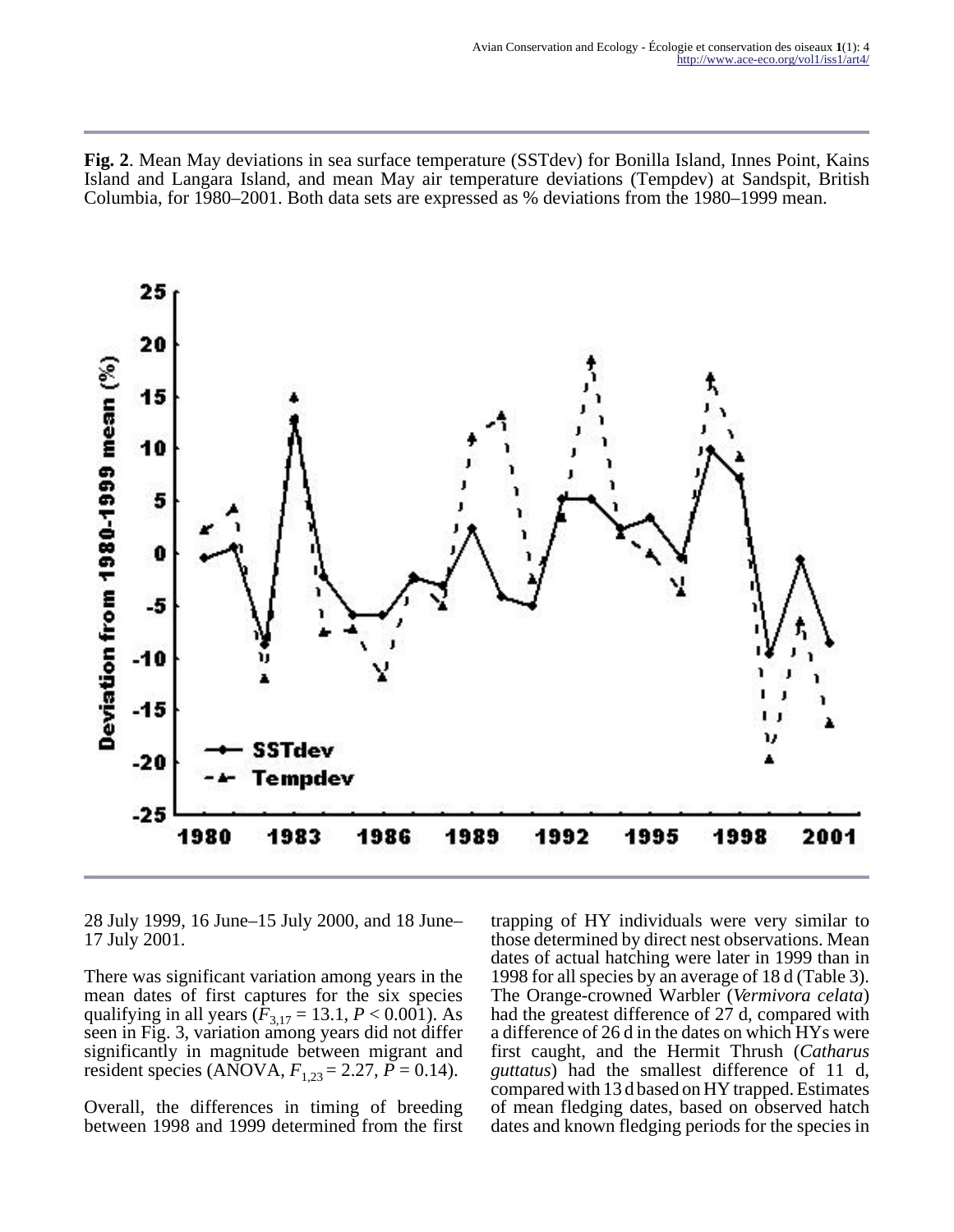**Fig. 2**. Mean May deviations in sea surface temperature (SSTdev) for Bonilla Island, Innes Point, Kains Island and Langara Island, and mean May air temperature deviations (Tempdev) at Sandspit, British Columbia, for 1980–2001. Both data sets are expressed as % deviations from the 1980–1999 mean.



28 July 1999, 16 June–15 July 2000, and 18 June– 17 July 2001.

There was significant variation among years in the mean dates of first captures for the six species qualifying in all years ( $\hat{F}_{3,17} = 13.1, P < 0.001$ ). As seen in Fig. 3, variation among years did not differ significantly in magnitude between migrant and resident species (ANOVA,  $F_{1,23} = 2.27$ ,  $\bar{P} = 0.14$ ).

Overall, the differences in timing of breeding between 1998 and 1999 determined from the first trapping of HY individuals were very similar to those determined by direct nest observations. Mean dates of actual hatching were later in 1999 than in 1998 for all species by an average of 18 d (Table 3). The Orange-crowned Warbler (*Vermivora celata*) had the greatest difference of 27 d, compared with a difference of 26 d in the dates on which HYs were first caught, and the Hermit Thrush (*Catharus guttatus*) had the smallest difference of 11 d, compared with 13 d based on HY trapped. Estimates of mean fledging dates, based on observed hatch dates and known fledging periods for the species in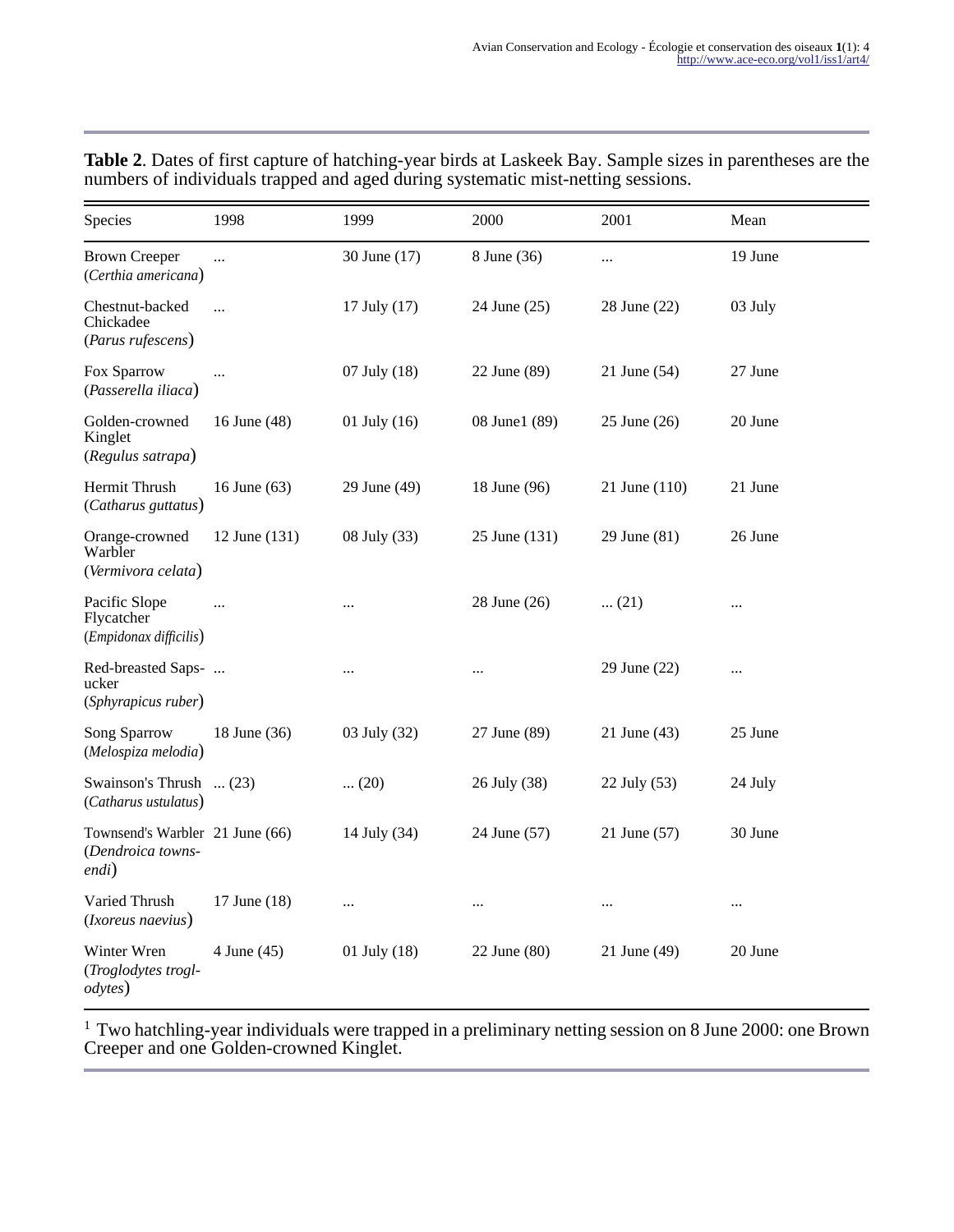| Species                                                       | 1998          | 1999         | 2000          | 2001          | Mean     |
|---------------------------------------------------------------|---------------|--------------|---------------|---------------|----------|
| <b>Brown Creeper</b><br>(Certhia americana)                   | $\cdots$      | 30 June (17) | 8 June (36)   | $\cdots$      | 19 June  |
| Chestnut-backed<br>Chickadee<br>(Parus rufescens)             | $\ddotsc$     | 17 July (17) | 24 June (25)  | 28 June (22)  | 03 July  |
| Fox Sparrow<br>(Passerella iliaca)                            | $\cdots$      | 07 July (18) | 22 June (89)  | 21 June (54)  | 27 June  |
| Golden-crowned<br>Kinglet<br>(Regulus satrapa)                | 16 June (48)  | 01 July (16) | 08 June1 (89) | 25 June (26)  | 20 June  |
| Hermit Thrush<br>(Catharus guttatus)                          | 16 June (63)  | 29 June (49) | 18 June (96)  | 21 June (110) | 21 June  |
| Orange-crowned<br>Warbler<br>(Vermivora celata)               | 12 June (131) | 08 July (33) | 25 June (131) | 29 June (81)  | 26 June  |
| Pacific Slope<br>Flycatcher<br>(Empidonax difficilis)         |               |              | 28 June (26)  | $\dots(21)$   |          |
| Red-breasted Saps-<br>ucker<br>(Sphyrapicus ruber)            |               | $\cdots$     | $\ldots$      | 29 June (22)  |          |
| <b>Song Sparrow</b><br>(Melospiza melodia)                    | 18 June (36)  | 03 July (32) | 27 June (89)  | 21 June (43)  | 25 June  |
| Swainson's Thrush  (23)<br>(Catharus ustulatus)               |               | $\dots(20)$  | 26 July (38)  | 22 July (53)  | 24 July  |
| Townsend's Warbler 21 June (66)<br>(Dendroica towns-<br>endi) |               | 14 July (34) | 24 June (57)  | 21 June (57)  | 30 June  |
| Varied Thrush<br>(Ixoreus naevius)                            | 17 June (18)  | $\cdots$     | $\ldots$      | $\cdots$      | $\cdots$ |
| Winter Wren<br>(Troglodytes trogl-<br><i>odytes</i> )         | 4 June (45)   | 01 July (18) | 22 June (80)  | 21 June (49)  | 20 June  |

**Table 2**. Dates of first capture of hatching-year birds at Laskeek Bay. Sample sizes in parentheses are the numbers of individuals trapped and aged during systematic mist-netting sessions.

 $1$  Two hatchling-year individuals were trapped in a preliminary netting session on 8 June 2000: one Brown Creeper and one Golden-crowned Kinglet.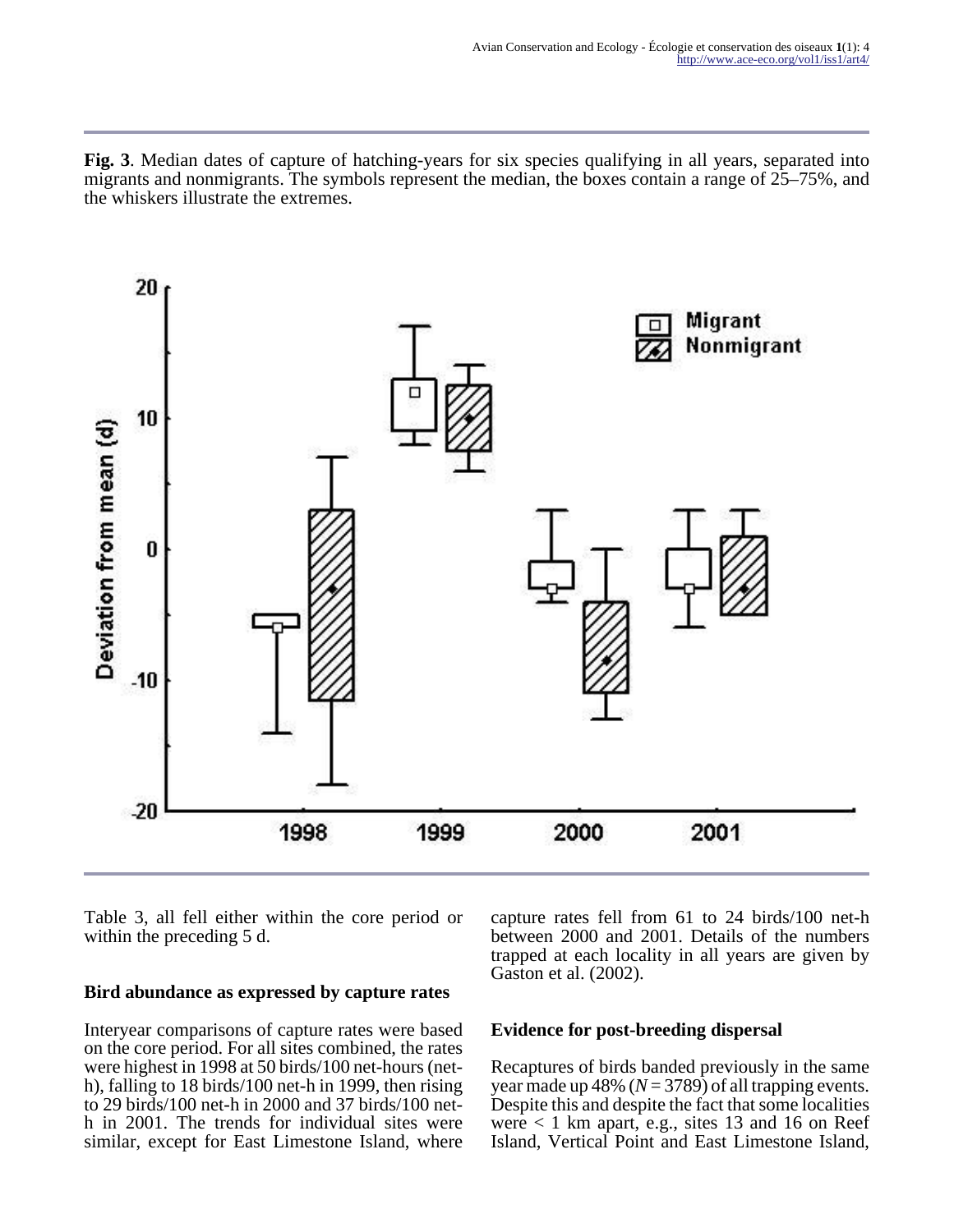**Fig. 3**. Median dates of capture of hatching-years for six species qualifying in all years, separated into migrants and nonmigrants. The symbols represent the median, the boxes contain a range of 25–75%, and the whiskers illustrate the extremes.



Table 3, all fell either within the core period or within the preceding 5 d.

#### **Bird abundance as expressed by capture rates**

Interyear comparisons of capture rates were based on the core period. For all sites combined, the rates were highest in 1998 at 50 birds/100 net-hours (neth), falling to 18 birds/100 net-h in 1999, then rising to 29 birds/100 net-h in 2000 and 37 birds/100 neth in 2001. The trends for individual sites were similar, except for East Limestone Island, where

capture rates fell from 61 to 24 birds/100 net-h between 2000 and 2001. Details of the numbers trapped at each locality in all years are given by Gaston et al. (2002).

#### **Evidence for post-breeding dispersal**

Recaptures of birds banded previously in the same year made up 48% ( $N = 3789$ ) of all trapping events. Despite this and despite the fact that some localities were  $< 1$  km apart, e.g., sites 13 and 16 on Reef Island, Vertical Point and East Limestone Island,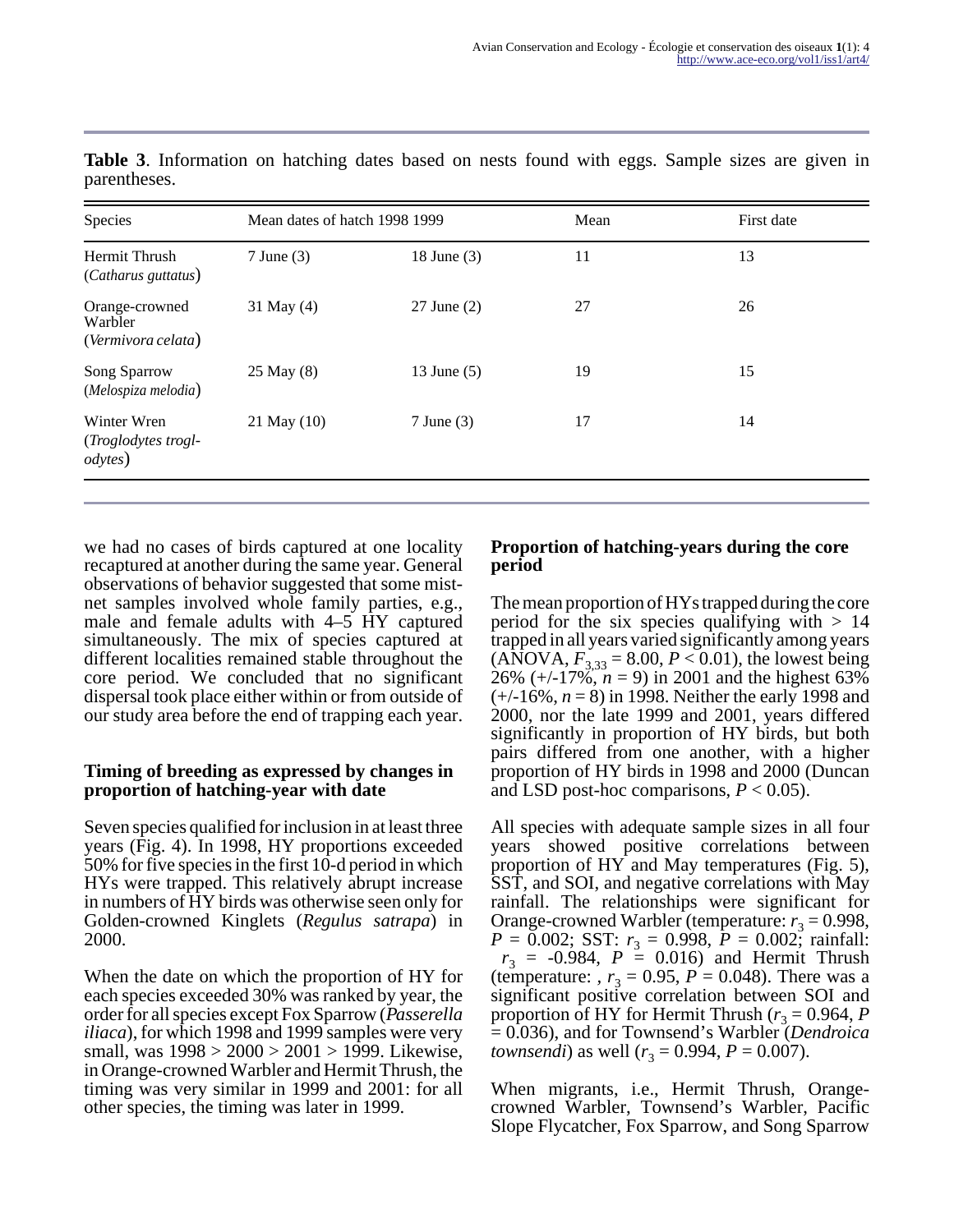| Species                                               | Mean dates of hatch 1998 1999 |                 | Mean | First date |
|-------------------------------------------------------|-------------------------------|-----------------|------|------------|
| Hermit Thrush<br>(Catharus guttatus)                  | $7$ June $(3)$                | 18 June (3)     | 11   | 13         |
| Orange-crowned<br>Warbler<br>(Vermivora celata)       | 31 May (4)                    | $27$ June $(2)$ | 27   | 26         |
| Song Sparrow<br>(Melospiza melodia)                   | 25 May (8)                    | 13 June (5)     | 19   | 15         |
| Winter Wren<br>(Troglodytes trogl-<br><i>odytes</i> ) | 21 May (10)                   | $7$ June $(3)$  | 17   | 14         |

**Table 3**. Information on hatching dates based on nests found with eggs. Sample sizes are given in parentheses.

we had no cases of birds captured at one locality recaptured at another during the same year. General observations of behavior suggested that some mistnet samples involved whole family parties, e.g., male and female adults with 4–5 HY captured simultaneously. The mix of species captured at different localities remained stable throughout the core period. We concluded that no significant dispersal took place either within or from outside of our study area before the end of trapping each year.

#### **Timing of breeding as expressed by changes in proportion of hatching-year with date**

Seven species qualified for inclusion in at least three years (Fig. 4). In 1998, HY proportions exceeded 50% for five species in the first 10-d period in which HYs were trapped. This relatively abrupt increase in numbers of HY birds was otherwise seen only for Golden-crowned Kinglets (*Regulus satrapa*) in 2000.

When the date on which the proportion of HY for each species exceeded 30% was ranked by year, the order for all species except Fox Sparrow (*Passerella iliaca*), for which 1998 and 1999 samples were very small, was 1998 > 2000 > 2001 > 1999. Likewise, in Orange-crowned Warbler and Hermit Thrush, the timing was very similar in 1999 and 2001: for all other species, the timing was later in 1999.

## **Proportion of hatching-years during the core period**

The mean proportion of HYs trapped during the core period for the six species qualifying with  $> 14$ trapped in all years varied significantly among years  $(ANOVA, F_{3,33} = 8.00, P < 0.01)$ , the lowest being 26%  $(+/-17\%, n=9)$  in 2001 and the highest 63% (+/-16%, *n* = 8) in 1998. Neither the early 1998 and 2000, nor the late 1999 and 2001, years differed significantly in proportion of HY birds, but both pairs differed from one another, with a higher proportion of HY birds in 1998 and 2000 (Duncan and LSD post-hoc comparisons,  $P < 0.05$ ).

All species with adequate sample sizes in all four years showed positive correlations between proportion of HY and May temperatures (Fig. 5), SST, and SOI, and negative correlations with May rainfall. The relationships were significant for Orange-crowned Warbler (temperature:  $r_3 = 0.998$ ,  $P = 0.002$ ; SST:  $r_3 = 0.998$ ,  $P = 0.002$ ; rainfall:  $r_3 = -0.984$ ,  $P = 0.016$ ) and Hermit Thrush (temperature: *, r*<sub>3</sub> = 0.95, *P* = 0.048). There was a significant positive correlation between SOI and proportion of HY for Hermit Thrush ( $r_3 = 0.964$ , *P* = 0.036), and for Townsend's Warbler (*Dendroica townsendi*) as well ( $r_3 = 0.994$ ,  $P = 0.007$ ).

When migrants, i.e., Hermit Thrush, Orangecrowned Warbler, Townsend's Warbler, Pacific Slope Flycatcher, Fox Sparrow, and Song Sparrow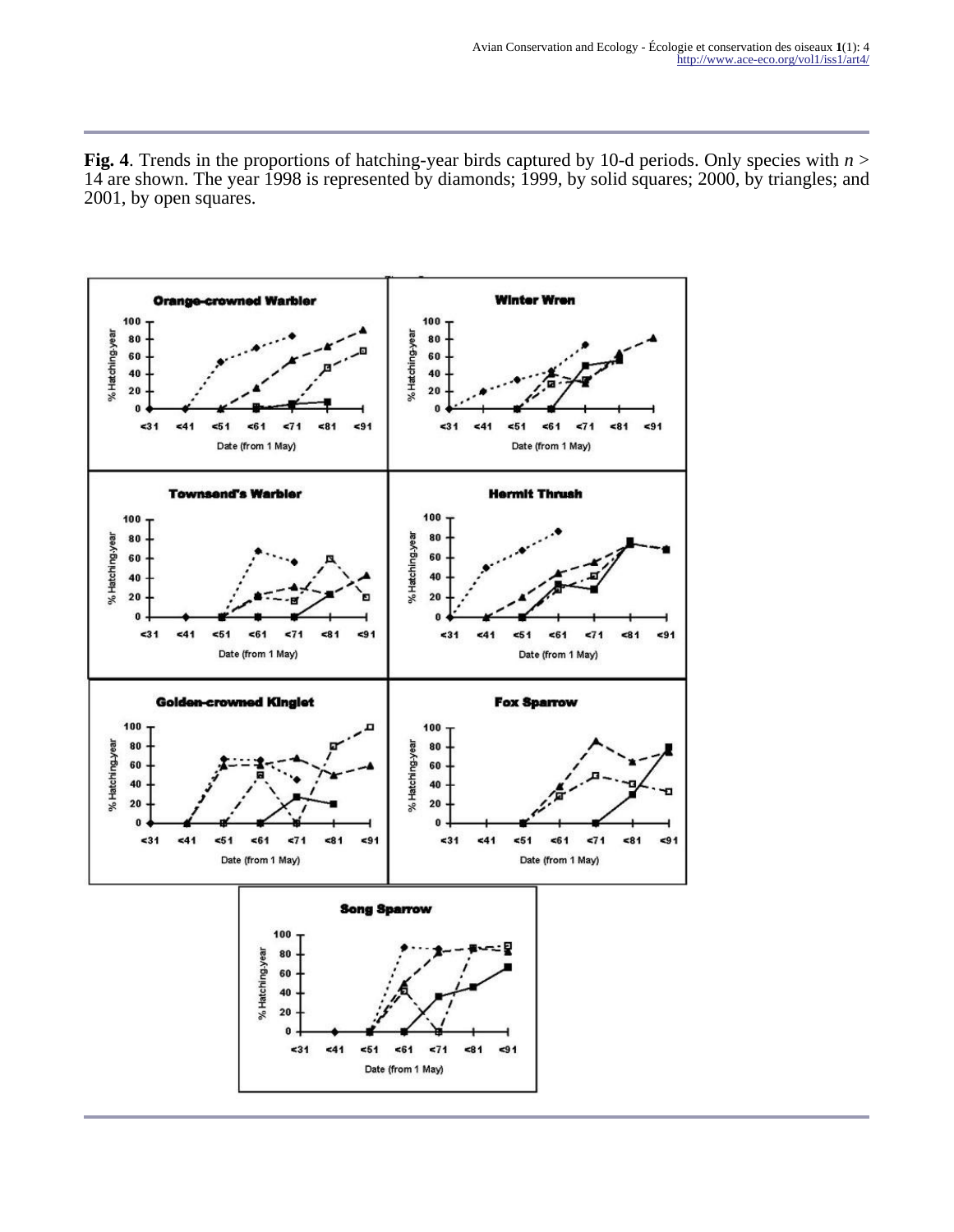**Fig. 4**. Trends in the proportions of hatching-year birds captured by 10-d periods. Only species with *n* > 14 are shown. The year 1998 is represented by diamonds; 1999, by solid squares; 2000, by triangles; and 2001, by open squares.

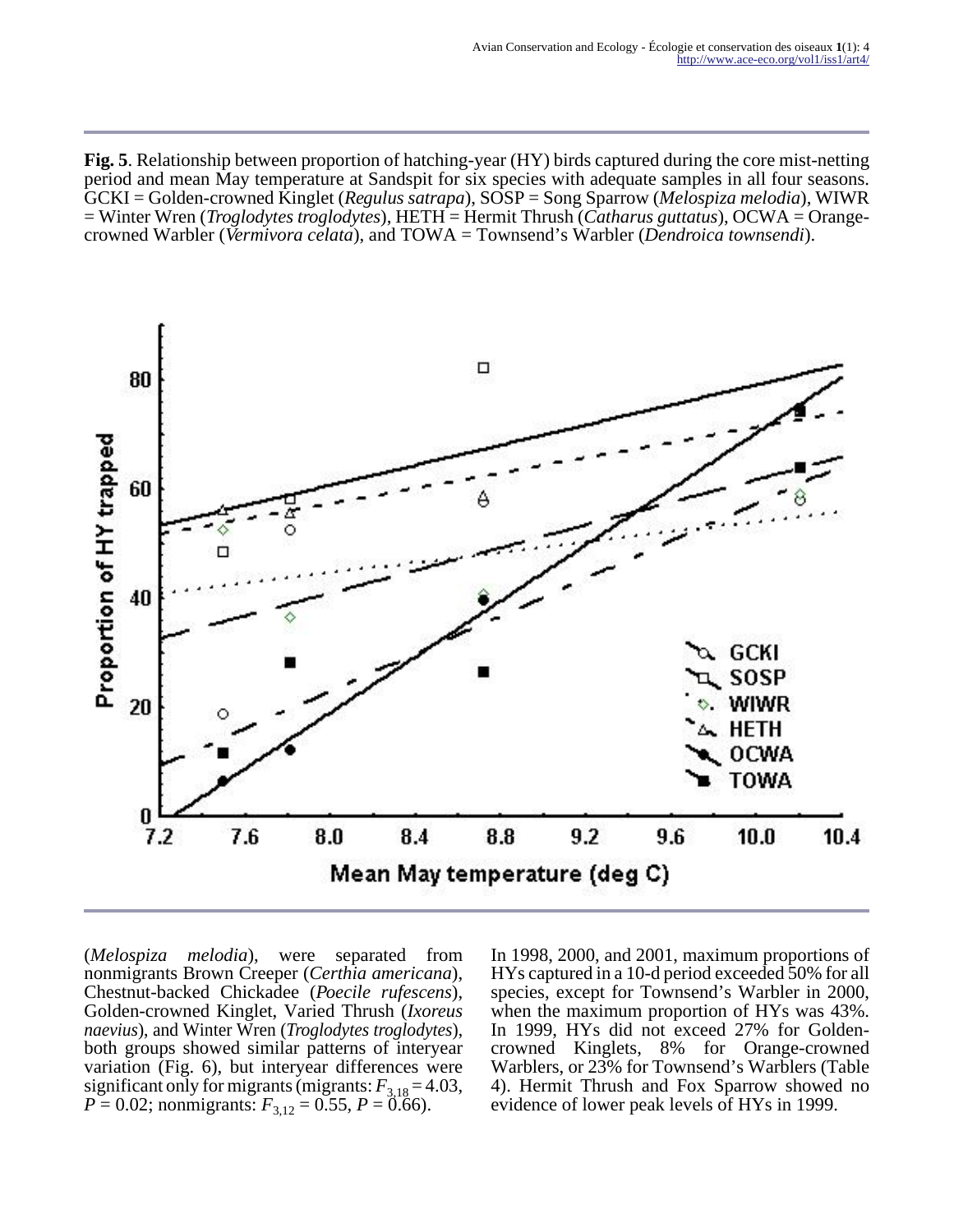**Fig. 5**. Relationship between proportion of hatching-year (HY) birds captured during the core mist-netting period and mean May temperature at Sandspit for six species with adequate samples in all four seasons. GCKI = Golden-crowned Kinglet (*Regulus satrapa*), SOSP = Song Sparrow (*Melospiza melodia*), WIWR = Winter Wren (*Troglodytes troglodytes*), HETH = Hermit Thrush (*Catharus guttatus*), OCWA = Orangecrowned Warbler (*Vermivora celata*), and TOWA = Townsend's Warbler (*Dendroica townsendi*).



(*Melospiza melodia*), were separated from nonmigrants Brown Creeper (*Certhia americana*), Chestnut-backed Chickadee (*Poecile rufescens*), Golden-crowned Kinglet, Varied Thrush (*Ixoreus naevius*), and Winter Wren (*Troglodytes troglodytes*), both groups showed similar patterns of interyear variation (Fig. 6), but interyear differences were significant only for migrants (migrants:  $F_{3,18} = 4.03$ ,  $P = 0.02$ ; nonmigrants:  $F_{3,12} = 0.55$ ,  $P = 0.66$ ).

In 1998, 2000, and 2001, maximum proportions of HYs captured in a 10-d period exceeded 50% for all species, except for Townsend's Warbler in 2000, when the maximum proportion of HYs was 43%. In 1999, HYs did not exceed 27% for Goldencrowned Kinglets, 8% for Orange-crowned Warblers, or 23% for Townsend's Warblers (Table 4). Hermit Thrush and Fox Sparrow showed no evidence of lower peak levels of HYs in 1999.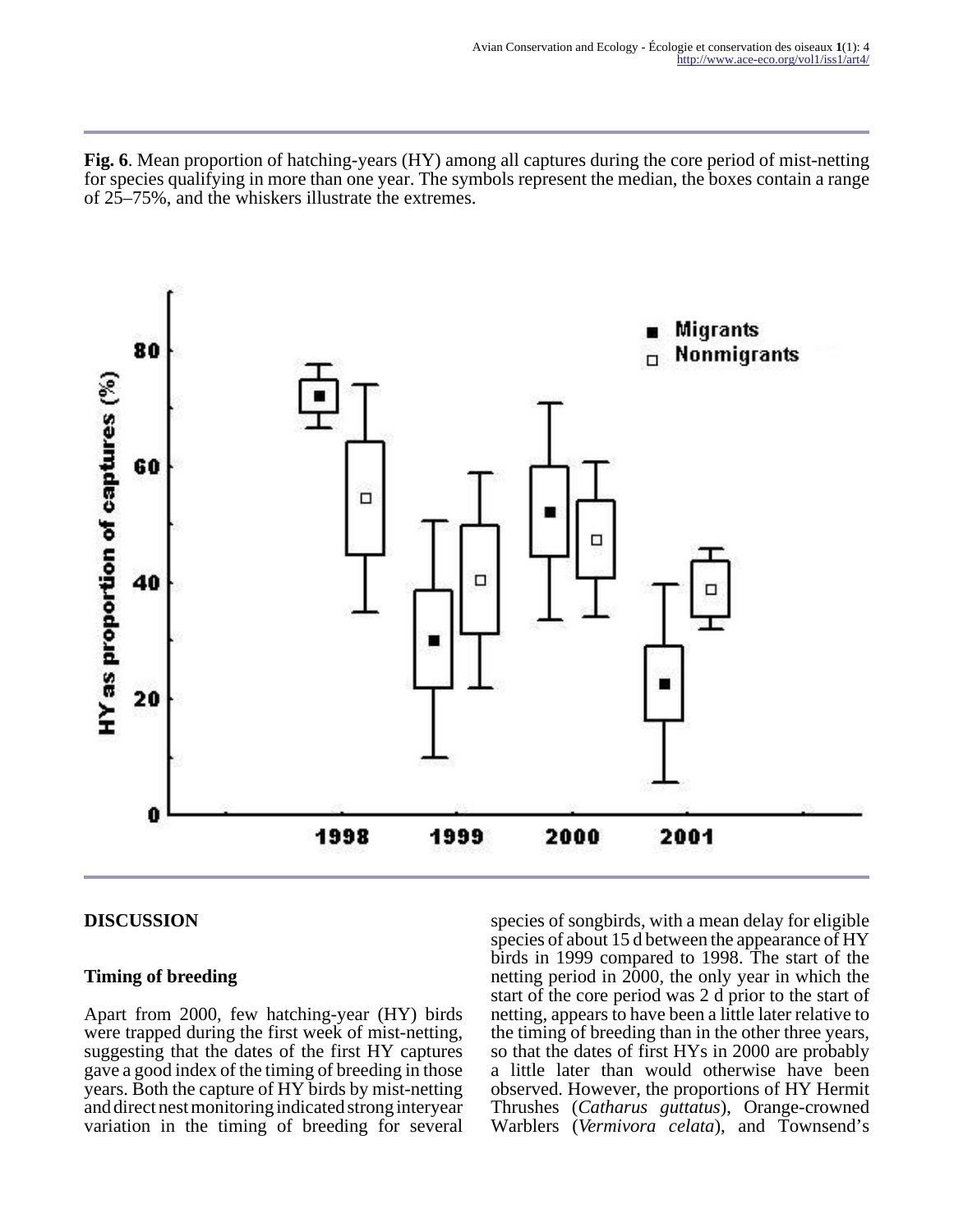**Fig. 6**. Mean proportion of hatching-years (HY) among all captures during the core period of mist-netting for species qualifying in more than one year. The symbols represent the median, the boxes contain a range of 25–75%, and the whiskers illustrate the extremes.



## **DISCUSSION**

## **Timing of breeding**

Apart from 2000, few hatching-year (HY) birds were trapped during the first week of mist-netting, suggesting that the dates of the first HY captures gave a good index of the timing of breeding in those years. Both the capture of HY birds by mist-netting and direct nest monitoring indicated strong interyear variation in the timing of breeding for several species of songbirds, with a mean delay for eligible species of about 15 d between the appearance of HY birds in 1999 compared to 1998. The start of the netting period in 2000, the only year in which the start of the core period was 2 d prior to the start of netting, appears to have been a little later relative to the timing of breeding than in the other three years, so that the dates of first HYs in 2000 are probably a little later than would otherwise have been observed. However, the proportions of HY Hermit Thrushes (*Catharus guttatus*), Orange-crowned Warblers (*Vermivora celata*), and Townsend's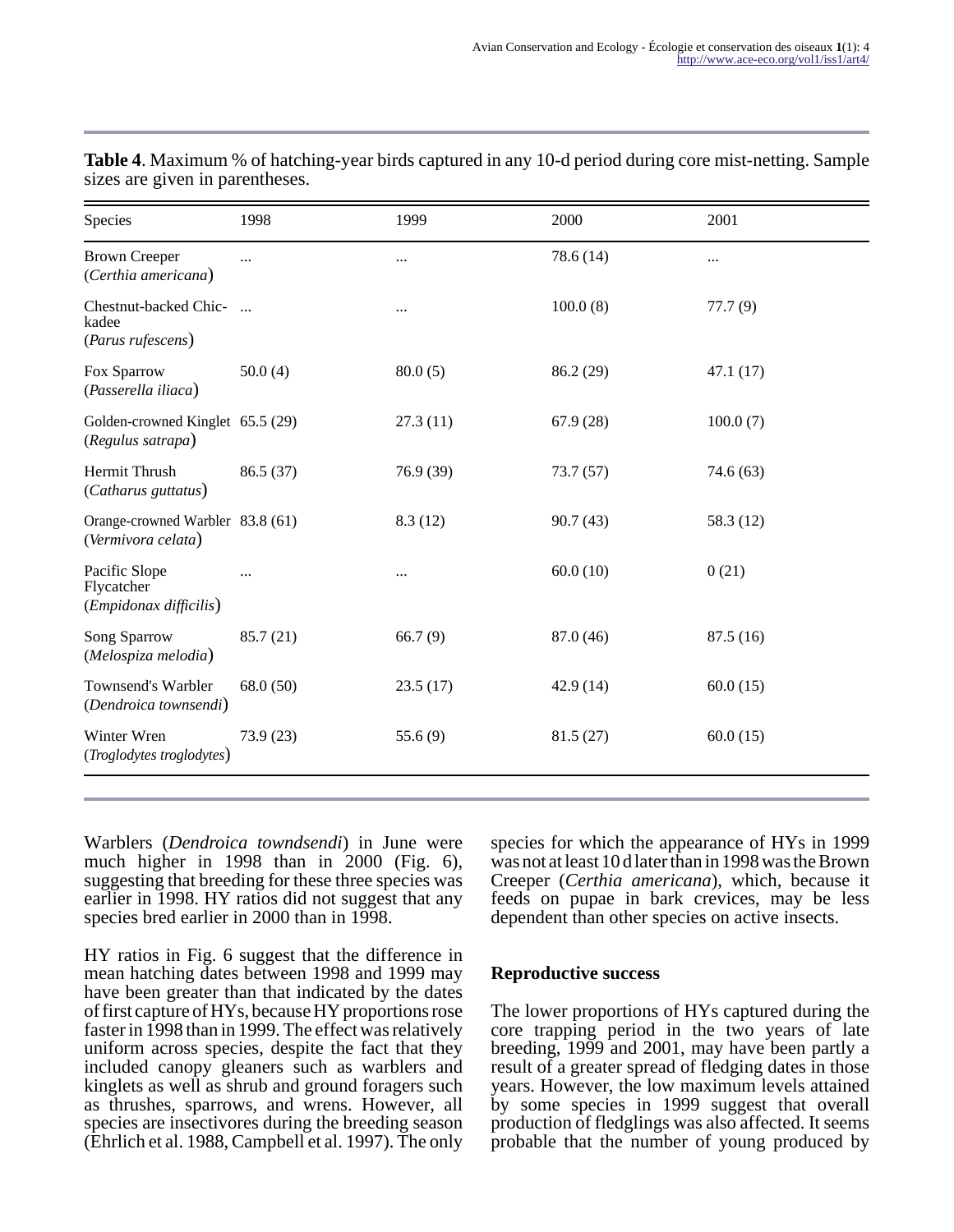| Species                                                | 1998       | 1999       | 2000      | 2001      |
|--------------------------------------------------------|------------|------------|-----------|-----------|
| <b>Brown Creeper</b><br>(Certhia americana)            | $\cdots$   |            | 78.6(14)  |           |
| Chestnut-backed Chic-<br>kadee<br>(Parus rufescens)    | $\dddotsc$ | $\cdots$   | 100.0(8)  | 77.7(9)   |
| Fox Sparrow<br>(Passerella iliaca)                     | 50.0(4)    | 80.0(5)    | 86.2 (29) | 47.1(17)  |
| Golden-crowned Kinglet 65.5 (29)<br>(Regulus satrapa)  |            | 27.3(11)   | 67.9(28)  | 100.0(7)  |
| Hermit Thrush<br>(Catharus guttatus)                   | 86.5(37)   | 76.9 (39)  | 73.7(57)  | 74.6(63)  |
| Orange-crowned Warbler 83.8 (61)<br>(Vermivora celata) |            | 8.3(12)    | 90.7(43)  | 58.3 (12) |
| Pacific Slope<br>Flycatcher<br>(Empidonax difficilis)  | $\ddotsc$  |            | 60.0(10)  | 0(21)     |
| Song Sparrow<br>(Melospiza melodia)                    | 85.7(21)   | 66.7(9)    | 87.0 (46) | 87.5(16)  |
| Townsend's Warbler<br>(Dendroica townsendi)            | 68.0 (50)  | 23.5(17)   | 42.9(14)  | 60.0(15)  |
| Winter Wren<br>(Troglodytes troglodytes)               | 73.9 (23)  | 55.6 $(9)$ | 81.5(27)  | 60.0(15)  |
|                                                        |            |            |           |           |

**Table 4**. Maximum % of hatching-year birds captured in any 10-d period during core mist-netting. Sample sizes are given in parentheses.

Warblers (*Dendroica towndsendi*) in June were much higher in 1998 than in 2000 (Fig. 6), suggesting that breeding for these three species was earlier in 1998. HY ratios did not suggest that any species bred earlier in 2000 than in 1998.

HY ratios in Fig. 6 suggest that the difference in mean hatching dates between 1998 and 1999 may have been greater than that indicated by the dates of first capture of HYs, because HY proportions rose faster in 1998 than in 1999. The effect was relatively uniform across species, despite the fact that they included canopy gleaners such as warblers and kinglets as well as shrub and ground foragers such as thrushes, sparrows, and wrens. However, all species are insectivores during the breeding season (Ehrlich et al. 1988, Campbell et al. 1997). The only

species for which the appearance of HYs in 1999 was not at least 10 d later than in 1998 was the Brown Creeper (*Certhia americana*), which, because it feeds on pupae in bark crevices, may be less dependent than other species on active insects.

#### **Reproductive success**

The lower proportions of HYs captured during the core trapping period in the two years of late breeding, 1999 and 2001, may have been partly a result of a greater spread of fledging dates in those years. However, the low maximum levels attained by some species in 1999 suggest that overall production of fledglings was also affected. It seems probable that the number of young produced by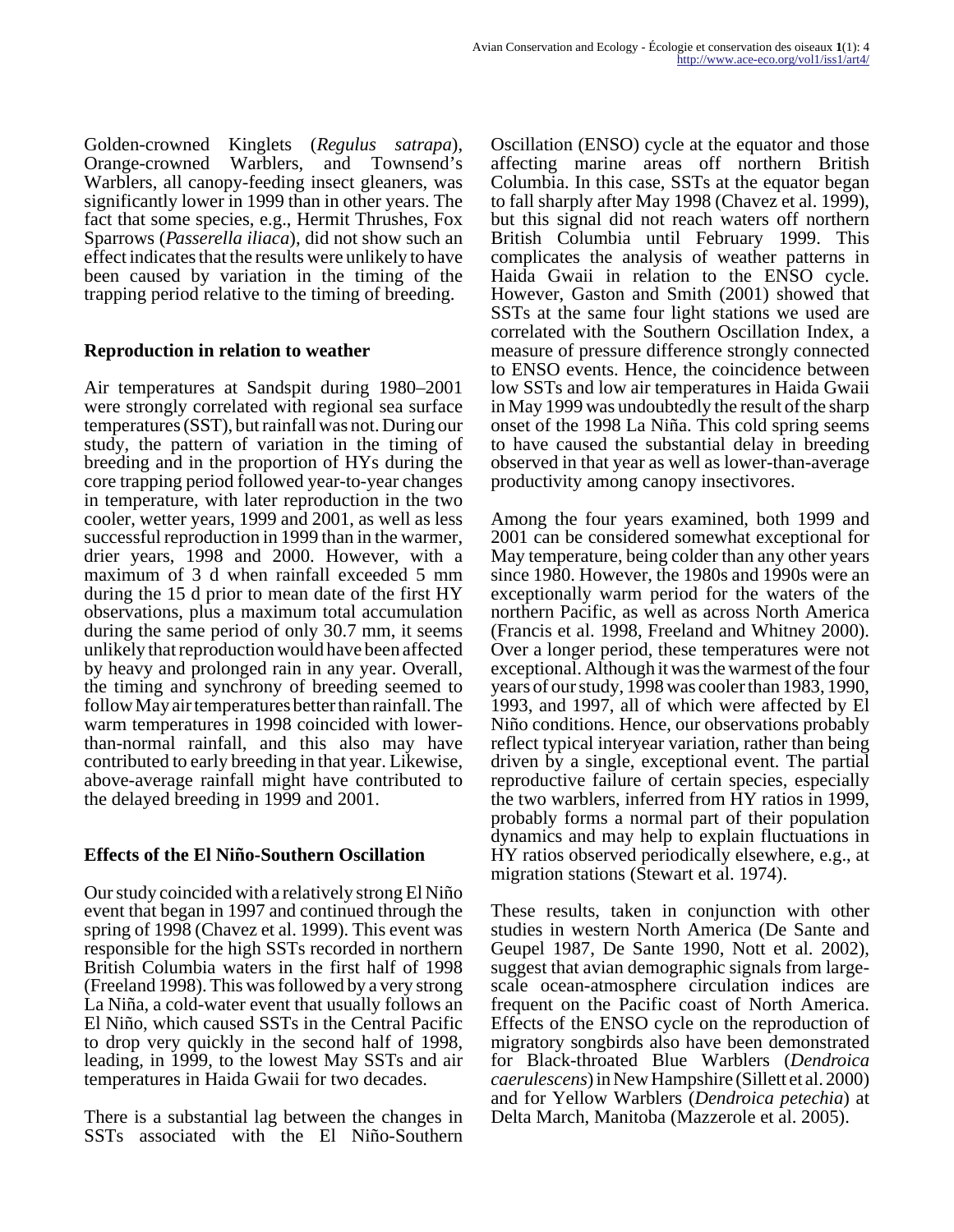Golden-crowned Kinglets (*Regulus satrapa*), Orange-crowned Warblers, and Townsend's Warblers, all canopy-feeding insect gleaners, was significantly lower in 1999 than in other years. The fact that some species, e.g., Hermit Thrushes, Fox Sparrows (*Passerella iliaca*), did not show such an effect indicates that the results were unlikely to have been caused by variation in the timing of the trapping period relative to the timing of breeding.

## **Reproduction in relation to weather**

Air temperatures at Sandspit during 1980–2001 were strongly correlated with regional sea surface temperatures (SST), but rainfall was not. During our study, the pattern of variation in the timing of breeding and in the proportion of HYs during the core trapping period followed year-to-year changes in temperature, with later reproduction in the two cooler, wetter years, 1999 and 2001, as well as less successful reproduction in 1999 than in the warmer, drier years, 1998 and 2000. However, with a maximum of 3 d when rainfall exceeded 5 mm during the 15 d prior to mean date of the first HY observations, plus a maximum total accumulation during the same period of only 30.7 mm, it seems unlikely that reproduction would have been affected by heavy and prolonged rain in any year. Overall, the timing and synchrony of breeding seemed to follow May air temperatures better than rainfall. The warm temperatures in 1998 coincided with lowerthan-normal rainfall, and this also may have contributed to early breeding in that year. Likewise, above-average rainfall might have contributed to the delayed breeding in 1999 and 2001.

## **Effects of the El Niño-Southern Oscillation**

Our study coincided with a relatively strong El Niño event that began in 1997 and continued through the spring of 1998 (Chavez et al. 1999). This event was responsible for the high SSTs recorded in northern British Columbia waters in the first half of 1998 (Freeland 1998). This was followed by a very strong La Niña, a cold-water event that usually follows an El Niño, which caused SSTs in the Central Pacific to drop very quickly in the second half of 1998, leading, in 1999, to the lowest May SSTs and air temperatures in Haida Gwaii for two decades.

There is a substantial lag between the changes in SSTs associated with the El Niño-Southern

Oscillation (ENSO) cycle at the equator and those affecting marine areas off northern British Columbia. In this case, SSTs at the equator began to fall sharply after May 1998 (Chavez et al. 1999), but this signal did not reach waters off northern British Columbia until February 1999. This complicates the analysis of weather patterns in Haida Gwaii in relation to the ENSO cycle. However, Gaston and Smith (2001) showed that SSTs at the same four light stations we used are correlated with the Southern Oscillation Index, a measure of pressure difference strongly connected to ENSO events. Hence, the coincidence between low SSTs and low air temperatures in Haida Gwaii in May 1999 was undoubtedly the result of the sharp onset of the 1998 La Niña. This cold spring seems to have caused the substantial delay in breeding observed in that year as well as lower-than-average productivity among canopy insectivores.

Among the four years examined, both 1999 and 2001 can be considered somewhat exceptional for May temperature, being colder than any other years since 1980. However, the 1980s and 1990s were an exceptionally warm period for the waters of the northern Pacific, as well as across North America (Francis et al. 1998, Freeland and Whitney 2000). Over a longer period, these temperatures were not exceptional. Although it was the warmest of the four years of our study, 1998 was cooler than 1983, 1990, 1993, and 1997, all of which were affected by El Niño conditions. Hence, our observations probably reflect typical interyear variation, rather than being driven by a single, exceptional event. The partial reproductive failure of certain species, especially the two warblers, inferred from HY ratios in 1999, probably forms a normal part of their population dynamics and may help to explain fluctuations in HY ratios observed periodically elsewhere, e.g., at migration stations (Stewart et al. 1974).

These results, taken in conjunction with other studies in western North America (De Sante and Geupel 1987, De Sante 1990, Nott et al. 2002), suggest that avian demographic signals from largescale ocean-atmosphere circulation indices are frequent on the Pacific coast of North America. Effects of the ENSO cycle on the reproduction of migratory songbirds also have been demonstrated for Black-throated Blue Warblers (*Dendroica caerulescens*) in New Hampshire (Sillett et al. 2000) and for Yellow Warblers (*Dendroica petechia*) at Delta March, Manitoba (Mazzerole et al. 2005).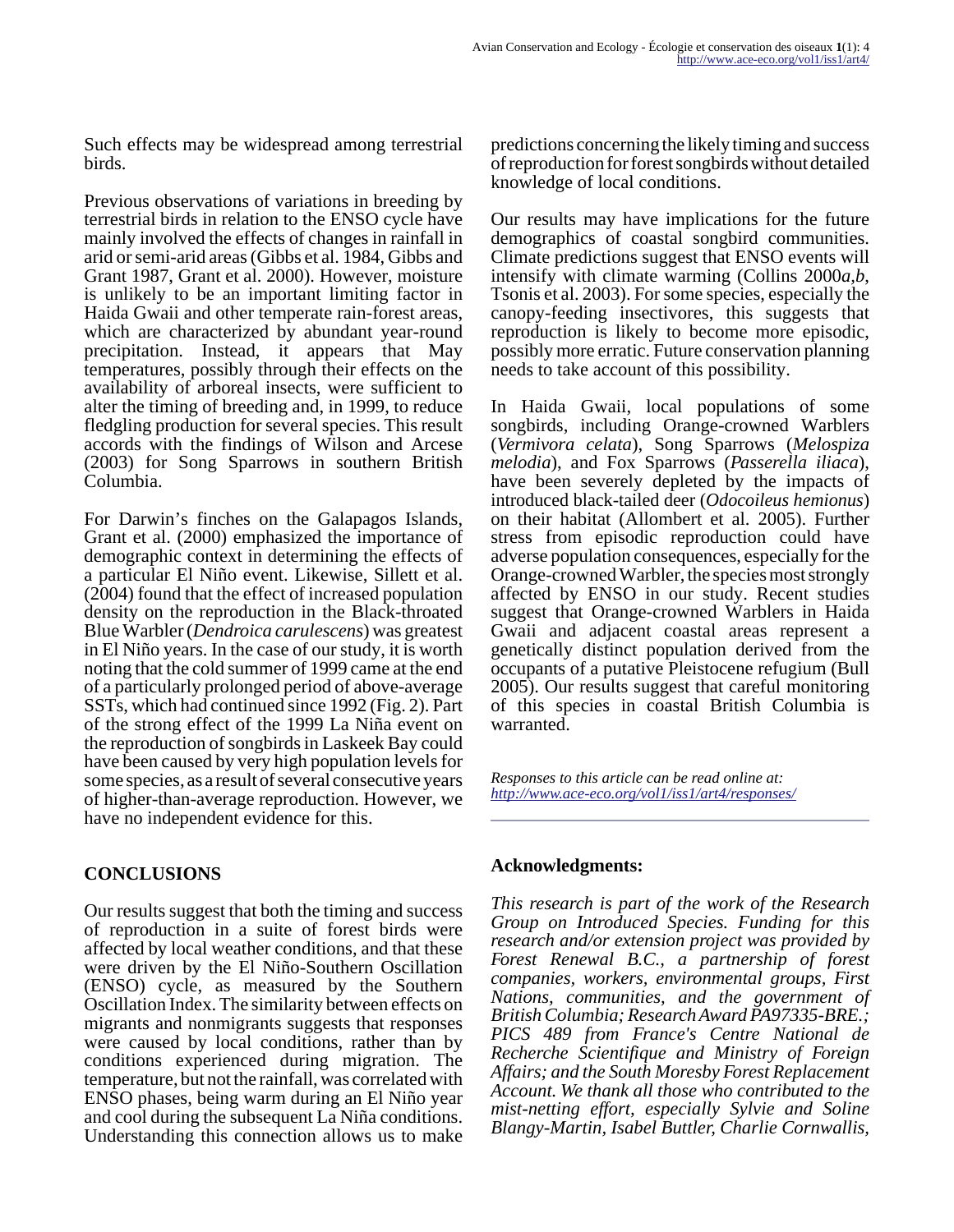Such effects may be widespread among terrestrial birds.

Previous observations of variations in breeding by terrestrial birds in relation to the ENSO cycle have mainly involved the effects of changes in rainfall in arid or semi-arid areas (Gibbs et al. 1984, Gibbs and Grant 1987, Grant et al. 2000). However, moisture is unlikely to be an important limiting factor in Haida Gwaii and other temperate rain-forest areas, which are characterized by abundant year-round precipitation. Instead, it appears that May temperatures, possibly through their effects on the availability of arboreal insects, were sufficient to alter the timing of breeding and, in 1999, to reduce fledgling production for several species. This result accords with the findings of Wilson and Arcese (2003) for Song Sparrows in southern British Columbia.

For Darwin's finches on the Galapagos Islands, Grant et al. (2000) emphasized the importance of demographic context in determining the effects of a particular El Niño event. Likewise, Sillett et al. (2004) found that the effect of increased population density on the reproduction in the Black-throated Blue Warbler (*Dendroica carulescens*) was greatest in El Niño years. In the case of our study, it is worth noting that the cold summer of 1999 came at the end of a particularly prolonged period of above-average SSTs, which had continued since 1992 (Fig. 2). Part of the strong effect of the 1999 La Niña event on the reproduction of songbirds in Laskeek Bay could have been caused by very high population levels for some species, as a result of several consecutive years of higher-than-average reproduction. However, we have no independent evidence for this.

# **CONCLUSIONS**

Our results suggest that both the timing and success of reproduction in a suite of forest birds were affected by local weather conditions, and that these were driven by the El Niño-Southern Oscillation (ENSO) cycle, as measured by the Southern Oscillation Index. The similarity between effects on migrants and nonmigrants suggests that responses were caused by local conditions, rather than by conditions experienced during migration. The temperature, but not the rainfall, was correlated with ENSO phases, being warm during an El Niño year and cool during the subsequent La Niña conditions. Understanding this connection allows us to make

predictions concerning the likely timing and success of reproduction for forest songbirds without detailed knowledge of local conditions.

Our results may have implications for the future demographics of coastal songbird communities. Climate predictions suggest that ENSO events will intensify with climate warming (Collins 2000*a,b*, Tsonis et al. 2003). For some species, especially the canopy-feeding insectivores, this suggests that reproduction is likely to become more episodic, possibly more erratic. Future conservation planning needs to take account of this possibility.

In Haida Gwaii, local populations of some songbirds, including Orange-crowned Warblers (*Vermivora celata*), Song Sparrows (*Melospiza melodia*), and Fox Sparrows (*Passerella iliaca*), have been severely depleted by the impacts of introduced black-tailed deer (*Odocoileus hemionus*) on their habitat (Allombert et al. 2005). Further stress from episodic reproduction could have adverse population consequences, especially for the Orange-crowned Warbler, the species most strongly affected by ENSO in our study. Recent studies suggest that Orange-crowned Warblers in Haida Gwaii and adjacent coastal areas represent a genetically distinct population derived from the occupants of a putative Pleistocene refugium (Bull 2005). Our results suggest that careful monitoring of this species in coastal British Columbia is warranted.

*Responses to this article can be read online at: <http://www.ace-eco.org/vol1/iss1/art4/responses/>*

# **Acknowledgments:**

*This research is part of the work of the Research Group on Introduced Species. Funding for this research and/or extension project was provided by Forest Renewal B.C., a partnership of forest companies, workers, environmental groups, First Nations, communities, and the government of British Columbia; Research Award PA97335-BRE.; PICS 489 from France's Centre National de Recherche Scientifique and Ministry of Foreign Affairs; and the South Moresby Forest Replacement Account. We thank all those who contributed to the mist-netting effort, especially Sylvie and Soline Blangy-Martin, Isabel Buttler, Charlie Cornwallis,*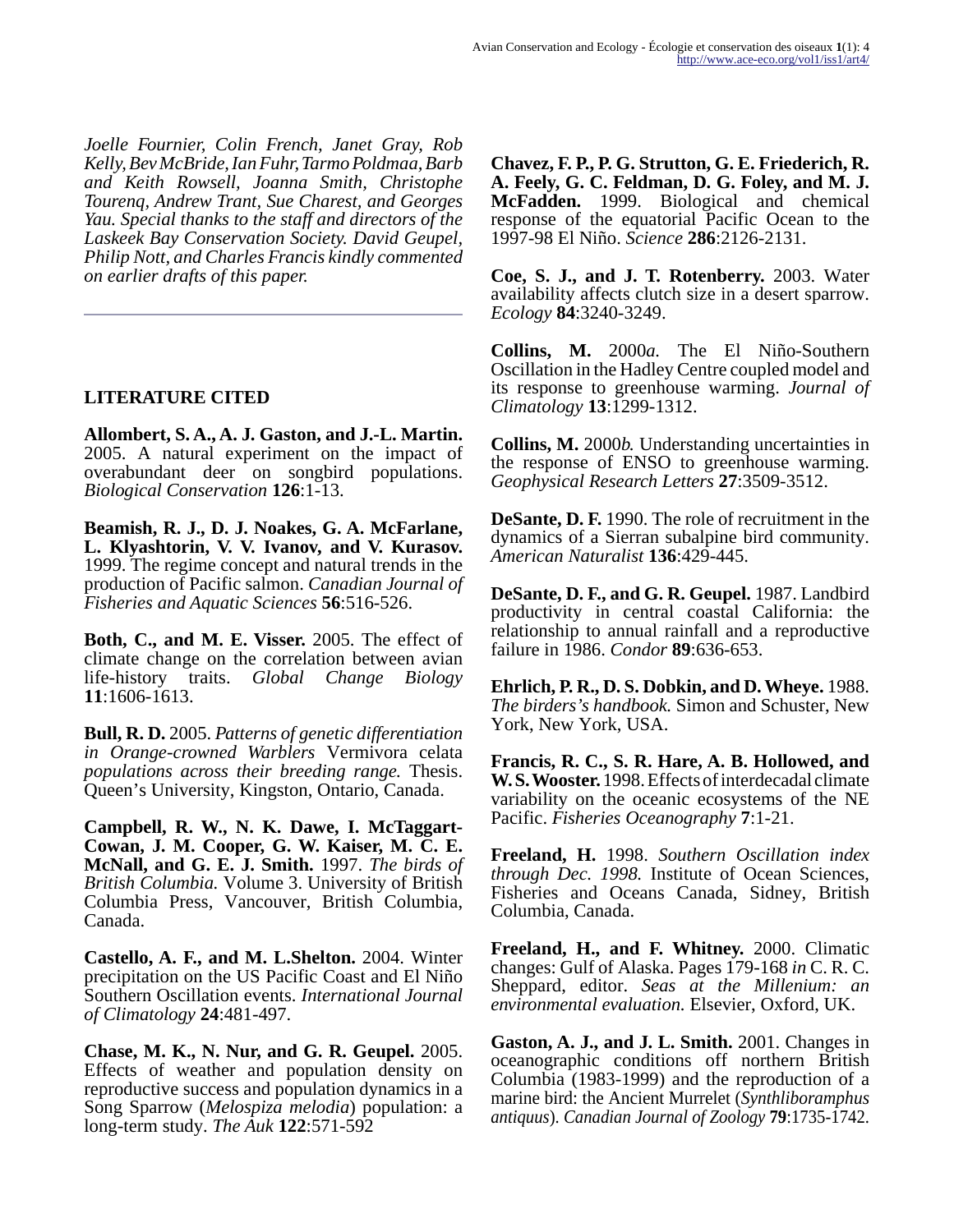*Joelle Fournier, Colin French, Janet Gray, Rob Kelly, Bev McBride, Ian Fuhr, Tarmo Poldmaa, Barb and Keith Rowsell, Joanna Smith, Christophe Tourenq, Andrew Trant, Sue Charest, and Georges Yau. Special thanks to the staff and directors of the Laskeek Bay Conservation Society. David Geupel, Philip Nott, and Charles Francis kindly commented on earlier drafts of this paper.*

## **LITERATURE CITED**

**Allombert, S. A., A. J. Gaston, and J.-L. Martin.** 2005. A natural experiment on the impact of overabundant deer on songbird populations. *Biological Conservation* **126**:1-13.

**Beamish, R. J., D. J. Noakes, G. A. McFarlane, L. Klyashtorin, V. V. Ivanov, and V. Kurasov.** 1999. The regime concept and natural trends in the production of Pacific salmon. *Canadian Journal of Fisheries and Aquatic Sciences* **56**:516-526.

**Both, C., and M. E. Visser.** 2005. The effect of climate change on the correlation between avian life-history traits. *Global Change Biology* **11**:1606-1613.

**Bull, R. D.** 2005. *Patterns of genetic differentiation in Orange-crowned Warblers* Vermivora celata *populations across their breeding range.* Thesis. Queen's University, Kingston, Ontario, Canada.

**Campbell, R. W., N. K. Dawe, I. McTaggart-Cowan, J. M. Cooper, G. W. Kaiser, M. C. E. McNall, and G. E. J. Smith.** 1997. *The birds of British Columbia.* Volume 3. University of British Columbia Press, Vancouver, British Columbia, Canada.

**Castello, A. F., and M. L.Shelton.** 2004. Winter precipitation on the US Pacific Coast and El Niño Southern Oscillation events. *International Journal of Climatology* **24**:481-497.

**Chase, M. K., N. Nur, and G. R. Geupel.** 2005. Effects of weather and population density on reproductive success and population dynamics in a Song Sparrow (*Melospiza melodia*) population: a long-term study. *The Auk* **122**:571-592

**Chavez, F. P., P. G. Strutton, G. E. Friederich, R. A. Feely, G. C. Feldman, D. G. Foley, and M. J. McFadden.** 1999. Biological and chemical response of the equatorial Pacific Ocean to the 1997-98 El Niño. *Science* **286**:2126-2131.

**Coe, S. J., and J. T. Rotenberry.** 2003. Water availability affects clutch size in a desert sparrow. *Ecology* **84**:3240-3249.

**Collins, M.** 2000*a.* The El Niño-Southern Oscillation in the Hadley Centre coupled model and its response to greenhouse warming. *Journal of Climatology* **13**:1299-1312.

**Collins, M.** 2000*b.* Understanding uncertainties in the response of ENSO to greenhouse warming. *Geophysical Research Letters* **27**:3509-3512.

**DeSante, D. F.** 1990. The role of recruitment in the dynamics of a Sierran subalpine bird community. *American Naturalist* **136**:429-445.

**DeSante, D. F., and G. R. Geupel.** 1987. Landbird productivity in central coastal California: the relationship to annual rainfall and a reproductive failure in 1986. *Condor* **89**:636-653.

**Ehrlich, P. R., D. S. Dobkin, and D. Wheye.** 1988. *The birders's handbook.* Simon and Schuster, New York, New York, USA.

**Francis, R. C., S. R. Hare, A. B. Hollowed, and W. S. Wooster.** 1998. Effects of interdecadal climate variability on the oceanic ecosystems of the NE Pacific. *Fisheries Oceanography* **7**:1-21.

**Freeland, H.** 1998. *Southern Oscillation index through Dec. 1998.* Institute of Ocean Sciences, Fisheries and Oceans Canada, Sidney, British Columbia, Canada.

**Freeland, H., and F. Whitney.** 2000. Climatic changes: Gulf of Alaska. Pages 179-168 *in* C. R. C. Sheppard, editor. *Seas at the Millenium: an environmental evaluation.* Elsevier, Oxford, UK.

**Gaston, A. J., and J. L. Smith.** 2001. Changes in oceanographic conditions off northern British Columbia (1983-1999) and the reproduction of a marine bird: the Ancient Murrelet (*Synthliboramphus antiquus*). *Canadian Journal of Zoology* **79**:1735-1742.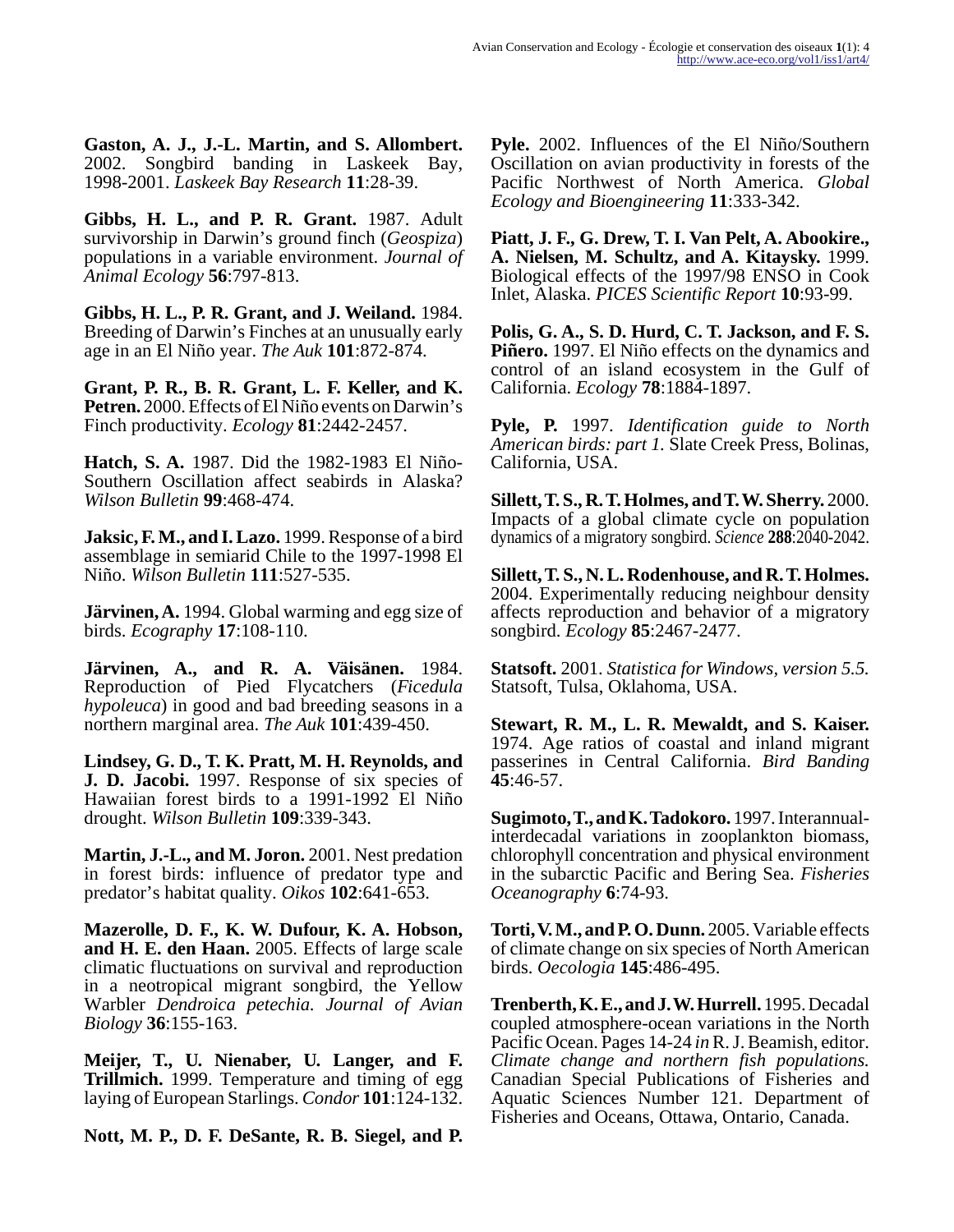**Gaston, A. J., J.-L. Martin, and S. Allombert.** 2002. Songbird banding in Laskeek Bay, 1998-2001. *Laskeek Bay Research* **11**:28-39.

**Gibbs, H. L., and P. R. Grant.** 1987. Adult survivorship in Darwin's ground finch (*Geospiza*) populations in a variable environment. *Journal of Animal Ecology* **56**:797-813.

**Gibbs, H. L., P. R. Grant, and J. Weiland.** 1984. Breeding of Darwin's Finches at an unusually early age in an El Niño year. *The Auk* **101**:872-874.

**Grant, P. R., B. R. Grant, L. F. Keller, and K. Petren.** 2000. Effects of El Niño events on Darwin's Finch productivity. *Ecology* **81**:2442-2457.

**Hatch, S. A.** 1987. Did the 1982-1983 El Niño-Southern Oscillation affect seabirds in Alaska? *Wilson Bulletin* **99**:468-474.

**Jaksic, F. M., and I. Lazo.** 1999. Response of a bird assemblage in semiarid Chile to the 1997-1998 El Niño. *Wilson Bulletin* **111**:527-535.

**Järvinen, A.** 1994. Global warming and egg size of birds. *Ecography* **17**:108-110.

**Järvinen, A., and R. A. Väisänen.** 1984. Reproduction of Pied Flycatchers (*Ficedula hypoleuca*) in good and bad breeding seasons in a northern marginal area. *The Auk* **101**:439-450.

**Lindsey, G. D., T. K. Pratt, M. H. Reynolds, and J. D. Jacobi.** 1997. Response of six species of Hawaiian forest birds to a 1991-1992 El Niño drought. *Wilson Bulletin* **109**:339-343.

**Martin, J.-L., and M. Joron.** 2001. Nest predation in forest birds: influence of predator type and predator's habitat quality. *Oikos* **102**:641-653.

**Mazerolle, D. F., K. W. Dufour, K. A. Hobson, and H. E. den Haan.** 2005. Effects of large scale climatic fluctuations on survival and reproduction in a neotropical migrant songbird, the Yellow Warbler *Dendroica petechia. Journal of Avian Biology* **36**:155-163.

**Meijer, T., U. Nienaber, U. Langer, and F. Trillmich.** 1999. Temperature and timing of egg laying of European Starlings. *Condor* **101**:124-132.

**Nott, M. P., D. F. DeSante, R. B. Siegel, and P.**

**Pyle.** 2002. Influences of the El Niño/Southern Oscillation on avian productivity in forests of the Pacific Northwest of North America. *Global Ecology and Bioengineering* **11**:333-342.

**Piatt, J. F., G. Drew, T. I. Van Pelt, A. Abookire., A. Nielsen, M. Schultz, and A. Kitaysky.** 1999. Biological effects of the 1997/98 ENSO in Cook Inlet, Alaska. *PICES Scientific Report* **10**:93-99.

**Polis, G. A., S. D. Hurd, C. T. Jackson, and F. S. Piñero.** 1997. El Niño effects on the dynamics and control of an island ecosystem in the Gulf of California. *Ecology* **78**:1884-1897.

**Pyle, P.** 1997. *Identification guide to North American birds: part 1.* Slate Creek Press, Bolinas, California, USA.

**Sillett, T. S., R. T. Holmes, and T. W. Sherry.** 2000. Impacts of a global climate cycle on population dynamics of a migratory songbird. *Science* **288**:2040-2042.

**Sillett, T. S., N. L. Rodenhouse, and R. T. Holmes.** 2004. Experimentally reducing neighbour density affects reproduction and behavior of a migratory songbird. *Ecology* **85**:2467-2477.

**Statsoft.** 2001. *Statistica for Windows, version 5.5.* Statsoft, Tulsa, Oklahoma, USA.

**Stewart, R. M., L. R. Mewaldt, and S. Kaiser.** 1974. Age ratios of coastal and inland migrant passerines in Central California. *Bird Banding* **45**:46-57.

**Sugimoto, T., and K. Tadokoro.** 1997. Interannualinterdecadal variations in zooplankton biomass, chlorophyll concentration and physical environment in the subarctic Pacific and Bering Sea. *Fisheries Oceanography* **6**:74-93.

**Torti, V. M., and P. O. Dunn.** 2005. Variable effects of climate change on six species of North American birds. *Oecologia* **145**:486-495.

**Trenberth, K. E., and J. W. Hurrell.** 1995. Decadal coupled atmosphere-ocean variations in the North Pacific Ocean. Pages 14-24 *in* R. J. Beamish, editor. *Climate change and northern fish populations.* Canadian Special Publications of Fisheries and Aquatic Sciences Number 121. Department of Fisheries and Oceans, Ottawa, Ontario, Canada.